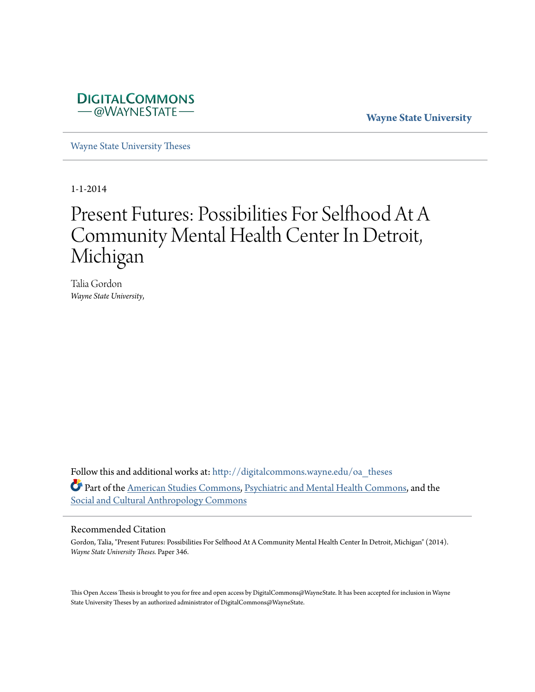

**Wayne State University**

[Wayne State University Theses](http://digitalcommons.wayne.edu/oa_theses?utm_source=digitalcommons.wayne.edu%2Foa_theses%2F346&utm_medium=PDF&utm_campaign=PDFCoverPages)

1-1-2014

# Present Futures: Possibilities For Selfhood At A Community Mental Health Center In Detroit, Michigan

Talia Gordon *Wayne State University*,

Follow this and additional works at: [http://digitalcommons.wayne.edu/oa\\_theses](http://digitalcommons.wayne.edu/oa_theses?utm_source=digitalcommons.wayne.edu%2Foa_theses%2F346&utm_medium=PDF&utm_campaign=PDFCoverPages) Part of the [American Studies Commons](http://network.bepress.com/hgg/discipline/439?utm_source=digitalcommons.wayne.edu%2Foa_theses%2F346&utm_medium=PDF&utm_campaign=PDFCoverPages), [Psychiatric and Mental Health Commons](http://network.bepress.com/hgg/discipline/711?utm_source=digitalcommons.wayne.edu%2Foa_theses%2F346&utm_medium=PDF&utm_campaign=PDFCoverPages), and the [Social and Cultural Anthropology Commons](http://network.bepress.com/hgg/discipline/323?utm_source=digitalcommons.wayne.edu%2Foa_theses%2F346&utm_medium=PDF&utm_campaign=PDFCoverPages)

#### Recommended Citation

Gordon, Talia, "Present Futures: Possibilities For Selfhood At A Community Mental Health Center In Detroit, Michigan" (2014). *Wayne State University Theses.* Paper 346.

This Open Access Thesis is brought to you for free and open access by DigitalCommons@WayneState. It has been accepted for inclusion in Wayne State University Theses by an authorized administrator of DigitalCommons@WayneState.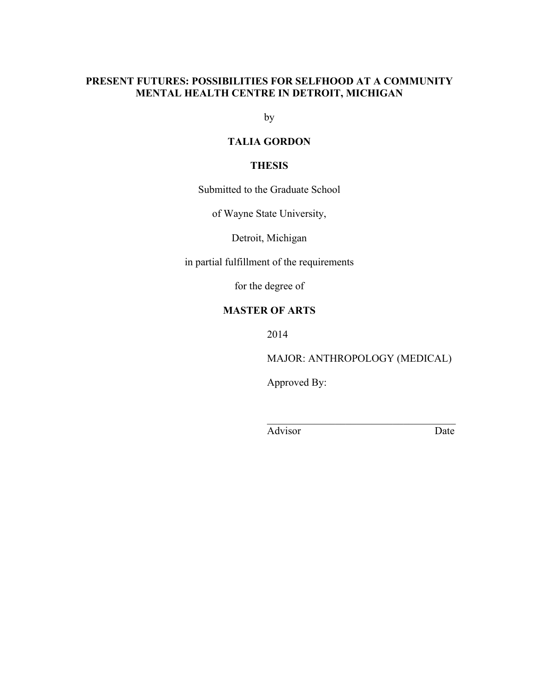# **PRESENT FUTURES: POSSIBILITIES FOR SELFHOOD AT A COMMUNITY MENTAL HEALTH CENTRE IN DETROIT, MICHIGAN**

by

# **TALIA GORDON**

# **THESIS**

Submitted to the Graduate School

of Wayne State University,

Detroit, Michigan

in partial fulfillment of the requirements

for the degree of

# **MASTER OF ARTS**

2014

MAJOR: ANTHROPOLOGY (MEDICAL)

 $\mathcal{L}_\text{max}$  , and the set of the set of the set of the set of the set of the set of the set of the set of the set of the set of the set of the set of the set of the set of the set of the set of the set of the set of the

Approved By:

Advisor Date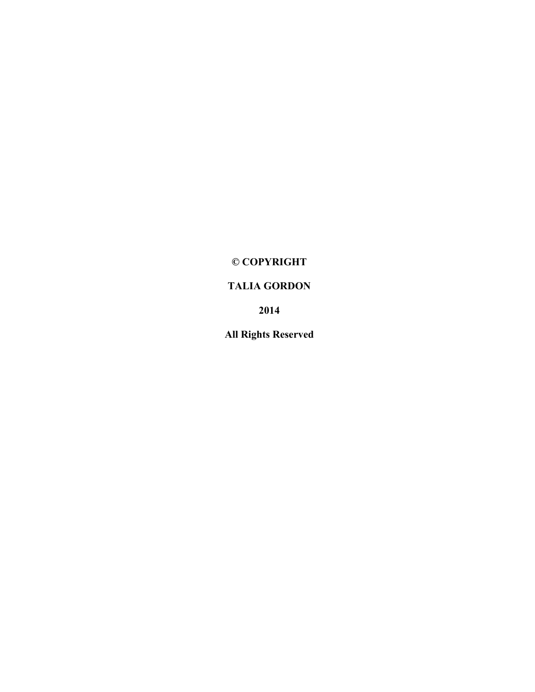# **© COPYRIGHT**

# **TALIA GORDON**

**2014**

**All Rights Reserved**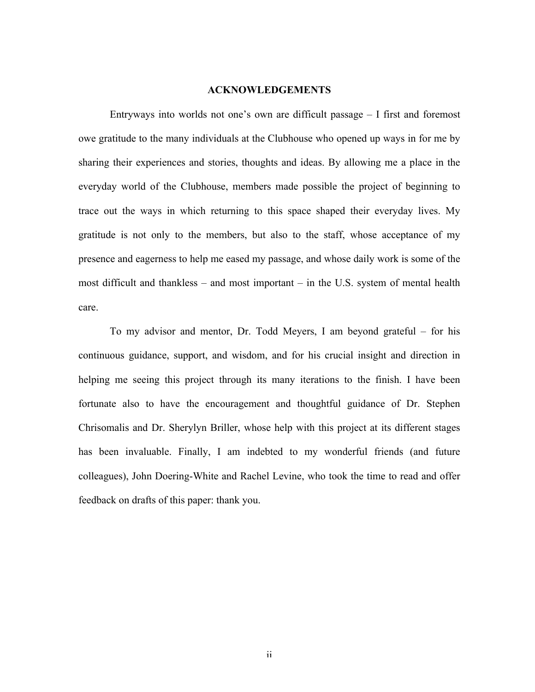#### **ACKNOWLEDGEMENTS**

Entryways into worlds not one's own are difficult passage – I first and foremost owe gratitude to the many individuals at the Clubhouse who opened up ways in for me by sharing their experiences and stories, thoughts and ideas. By allowing me a place in the everyday world of the Clubhouse, members made possible the project of beginning to trace out the ways in which returning to this space shaped their everyday lives. My gratitude is not only to the members, but also to the staff, whose acceptance of my presence and eagerness to help me eased my passage, and whose daily work is some of the most difficult and thankless – and most important – in the U.S. system of mental health care.

To my advisor and mentor, Dr. Todd Meyers, I am beyond grateful – for his continuous guidance, support, and wisdom, and for his crucial insight and direction in helping me seeing this project through its many iterations to the finish. I have been fortunate also to have the encouragement and thoughtful guidance of Dr. Stephen Chrisomalis and Dr. Sherylyn Briller, whose help with this project at its different stages has been invaluable. Finally, I am indebted to my wonderful friends (and future colleagues), John Doering-White and Rachel Levine, who took the time to read and offer feedback on drafts of this paper: thank you.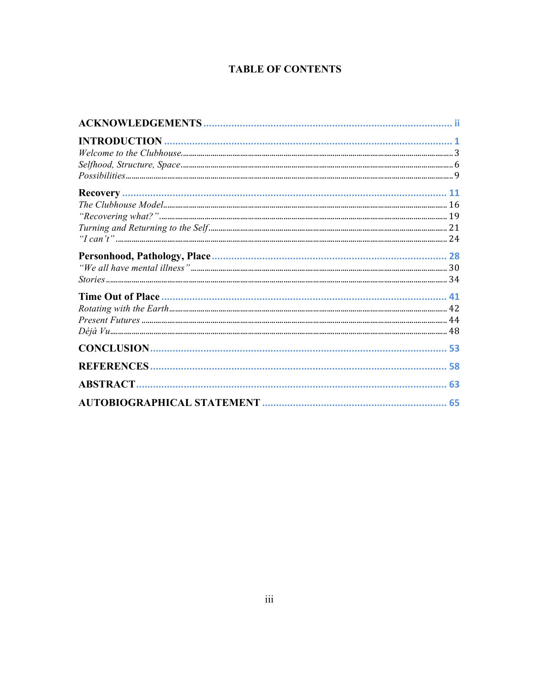# **TABLE OF CONTENTS**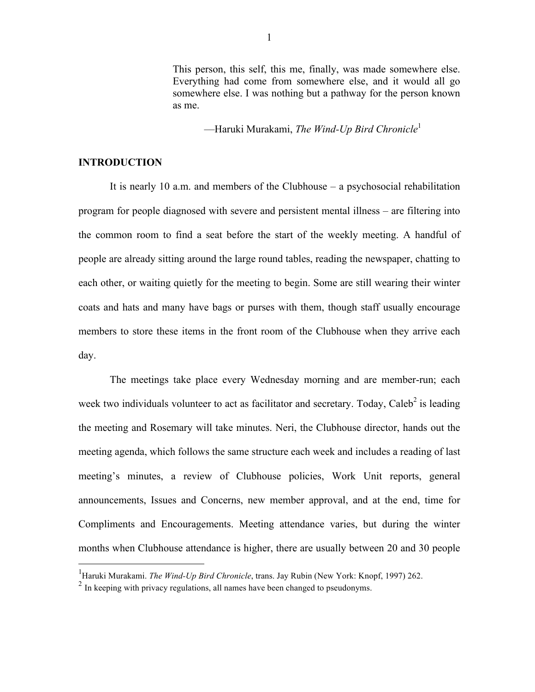This person, this self, this me, finally, was made somewhere else. Everything had come from somewhere else, and it would all go somewhere else. I was nothing but a pathway for the person known as me.

––Haruki Murakami, *The Wind-Up Bird Chronicle*<sup>1</sup>

#### **INTRODUCTION**

It is nearly 10 a.m. and members of the Clubhouse – a psychosocial rehabilitation program for people diagnosed with severe and persistent mental illness – are filtering into the common room to find a seat before the start of the weekly meeting. A handful of people are already sitting around the large round tables, reading the newspaper, chatting to each other, or waiting quietly for the meeting to begin. Some are still wearing their winter coats and hats and many have bags or purses with them, though staff usually encourage members to store these items in the front room of the Clubhouse when they arrive each day.

The meetings take place every Wednesday morning and are member-run; each week two individuals volunteer to act as facilitator and secretary. Today, Caleb<sup>2</sup> is leading the meeting and Rosemary will take minutes. Neri, the Clubhouse director, hands out the meeting agenda, which follows the same structure each week and includes a reading of last meeting's minutes, a review of Clubhouse policies, Work Unit reports, general announcements, Issues and Concerns, new member approval, and at the end, time for Compliments and Encouragements. Meeting attendance varies, but during the winter months when Clubhouse attendance is higher, there are usually between 20 and 30 people

 <sup>1</sup> Haruki Murakami. *The Wind-Up Bird Chronicle*, trans. Jay Rubin (New York: Knopf, 1997) 262.

<sup>&</sup>lt;sup>2</sup> In keeping with privacy regulations, all names have been changed to pseudonyms.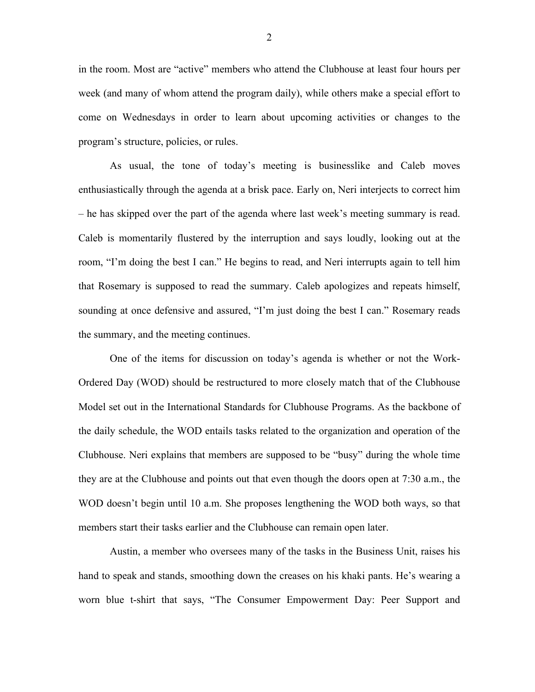in the room. Most are "active" members who attend the Clubhouse at least four hours per week (and many of whom attend the program daily), while others make a special effort to come on Wednesdays in order to learn about upcoming activities or changes to the program's structure, policies, or rules.

As usual, the tone of today's meeting is businesslike and Caleb moves enthusiastically through the agenda at a brisk pace. Early on, Neri interjects to correct him – he has skipped over the part of the agenda where last week's meeting summary is read. Caleb is momentarily flustered by the interruption and says loudly, looking out at the room, "I'm doing the best I can." He begins to read, and Neri interrupts again to tell him that Rosemary is supposed to read the summary. Caleb apologizes and repeats himself, sounding at once defensive and assured, "I'm just doing the best I can." Rosemary reads the summary, and the meeting continues.

One of the items for discussion on today's agenda is whether or not the Work-Ordered Day (WOD) should be restructured to more closely match that of the Clubhouse Model set out in the International Standards for Clubhouse Programs. As the backbone of the daily schedule, the WOD entails tasks related to the organization and operation of the Clubhouse. Neri explains that members are supposed to be "busy" during the whole time they are at the Clubhouse and points out that even though the doors open at 7:30 a.m., the WOD doesn't begin until 10 a.m. She proposes lengthening the WOD both ways, so that members start their tasks earlier and the Clubhouse can remain open later.

Austin, a member who oversees many of the tasks in the Business Unit, raises his hand to speak and stands, smoothing down the creases on his khaki pants. He's wearing a worn blue t-shirt that says, "The Consumer Empowerment Day: Peer Support and

2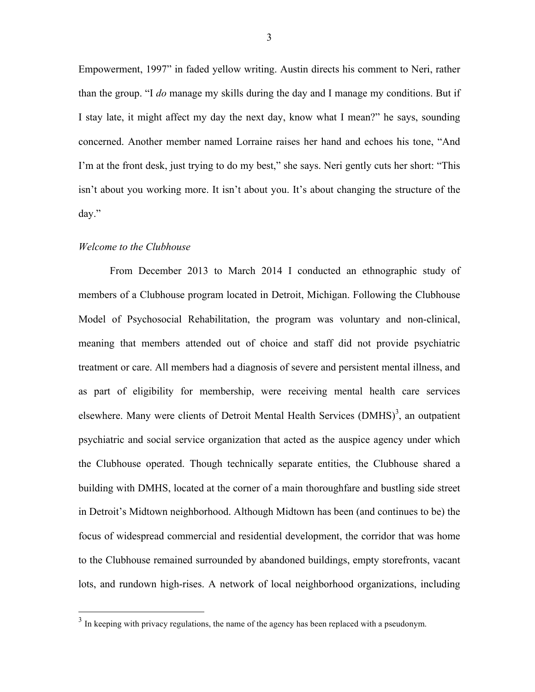Empowerment, 1997" in faded yellow writing. Austin directs his comment to Neri, rather than the group. "I *do* manage my skills during the day and I manage my conditions. But if I stay late, it might affect my day the next day, know what I mean?" he says, sounding concerned. Another member named Lorraine raises her hand and echoes his tone, "And I'm at the front desk, just trying to do my best," she says. Neri gently cuts her short: "This isn't about you working more. It isn't about you. It's about changing the structure of the day."

#### *Welcome to the Clubhouse*

From December 2013 to March 2014 I conducted an ethnographic study of members of a Clubhouse program located in Detroit, Michigan. Following the Clubhouse Model of Psychosocial Rehabilitation, the program was voluntary and non-clinical, meaning that members attended out of choice and staff did not provide psychiatric treatment or care. All members had a diagnosis of severe and persistent mental illness, and as part of eligibility for membership, were receiving mental health care services elsewhere. Many were clients of Detroit Mental Health Services (DMHS)<sup>3</sup>, an outpatient psychiatric and social service organization that acted as the auspice agency under which the Clubhouse operated. Though technically separate entities, the Clubhouse shared a building with DMHS, located at the corner of a main thoroughfare and bustling side street in Detroit's Midtown neighborhood. Although Midtown has been (and continues to be) the focus of widespread commercial and residential development, the corridor that was home to the Clubhouse remained surrounded by abandoned buildings, empty storefronts, vacant lots, and rundown high-rises. A network of local neighborhood organizations, including

<sup>&</sup>lt;sup>3</sup> In keeping with privacy regulations, the name of the agency has been replaced with a pseudonym.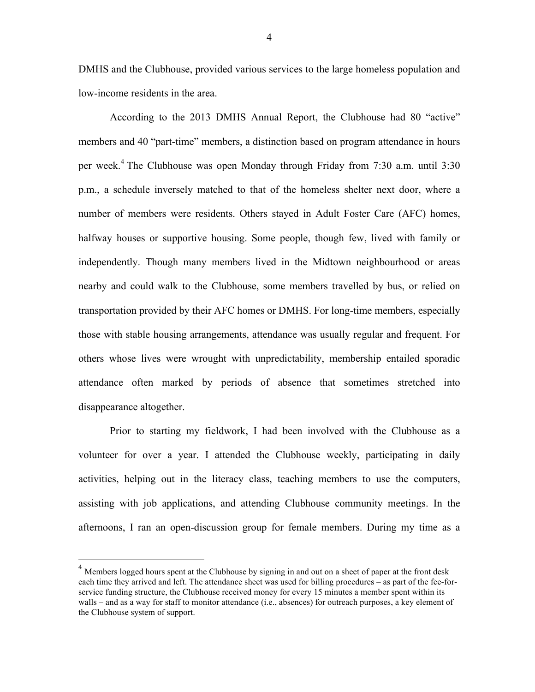DMHS and the Clubhouse, provided various services to the large homeless population and low-income residents in the area.

According to the 2013 DMHS Annual Report, the Clubhouse had 80 "active" members and 40 "part-time" members, a distinction based on program attendance in hours per week.<sup>4</sup> The Clubhouse was open Monday through Friday from 7:30 a.m. until 3:30 p.m., a schedule inversely matched to that of the homeless shelter next door, where a number of members were residents. Others stayed in Adult Foster Care (AFC) homes, halfway houses or supportive housing. Some people, though few, lived with family or independently. Though many members lived in the Midtown neighbourhood or areas nearby and could walk to the Clubhouse, some members travelled by bus, or relied on transportation provided by their AFC homes or DMHS. For long-time members, especially those with stable housing arrangements, attendance was usually regular and frequent. For others whose lives were wrought with unpredictability, membership entailed sporadic attendance often marked by periods of absence that sometimes stretched into disappearance altogether.

Prior to starting my fieldwork, I had been involved with the Clubhouse as a volunteer for over a year. I attended the Clubhouse weekly, participating in daily activities, helping out in the literacy class, teaching members to use the computers, assisting with job applications, and attending Clubhouse community meetings. In the afternoons, I ran an open-discussion group for female members. During my time as a

<sup>&</sup>lt;sup>4</sup> Members logged hours spent at the Clubhouse by signing in and out on a sheet of paper at the front desk each time they arrived and left. The attendance sheet was used for billing procedures – as part of the fee-forservice funding structure, the Clubhouse received money for every 15 minutes a member spent within its walls – and as a way for staff to monitor attendance (i.e., absences) for outreach purposes, a key element of the Clubhouse system of support.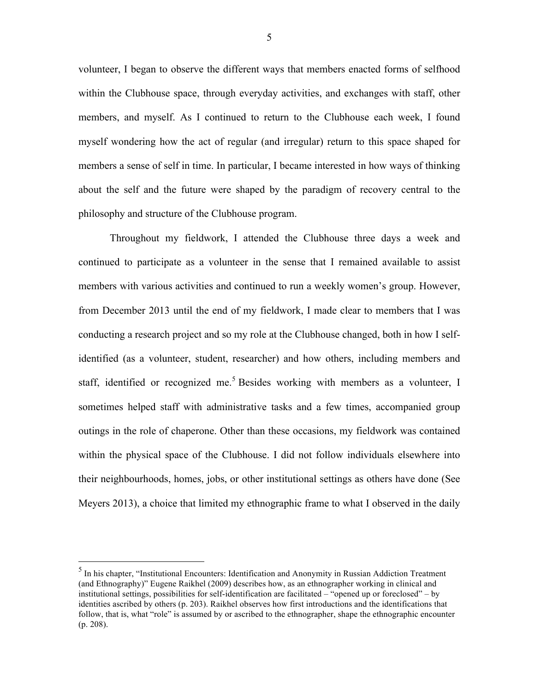volunteer, I began to observe the different ways that members enacted forms of selfhood within the Clubhouse space, through everyday activities, and exchanges with staff, other members, and myself. As I continued to return to the Clubhouse each week, I found myself wondering how the act of regular (and irregular) return to this space shaped for members a sense of self in time. In particular, I became interested in how ways of thinking about the self and the future were shaped by the paradigm of recovery central to the philosophy and structure of the Clubhouse program.

Throughout my fieldwork, I attended the Clubhouse three days a week and continued to participate as a volunteer in the sense that I remained available to assist members with various activities and continued to run a weekly women's group. However, from December 2013 until the end of my fieldwork, I made clear to members that I was conducting a research project and so my role at the Clubhouse changed, both in how I selfidentified (as a volunteer, student, researcher) and how others, including members and staff, identified or recognized me.<sup>5</sup> Besides working with members as a volunteer, I sometimes helped staff with administrative tasks and a few times, accompanied group outings in the role of chaperone. Other than these occasions, my fieldwork was contained within the physical space of the Clubhouse. I did not follow individuals elsewhere into their neighbourhoods, homes, jobs, or other institutional settings as others have done (See Meyers 2013), a choice that limited my ethnographic frame to what I observed in the daily

 <sup>5</sup> In his chapter, "Institutional Encounters: Identification and Anonymity in Russian Addiction Treatment (and Ethnography)" Eugene Raikhel (2009) describes how, as an ethnographer working in clinical and institutional settings, possibilities for self-identification are facilitated – "opened up or foreclosed" – by identities ascribed by others (p. 203). Raikhel observes how first introductions and the identifications that follow, that is, what "role" is assumed by or ascribed to the ethnographer, shape the ethnographic encounter (p. 208).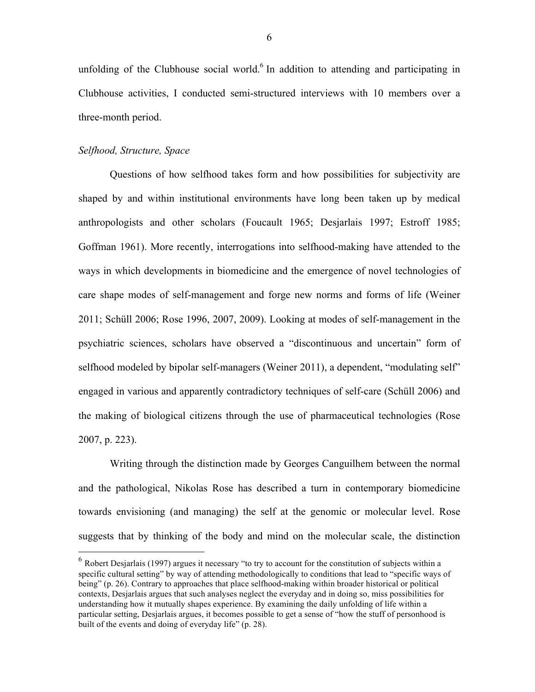unfolding of the Clubhouse social world.<sup>6</sup> In addition to attending and participating in Clubhouse activities, I conducted semi-structured interviews with 10 members over a three-month period.

#### *Selfhood, Structure, Space*

Questions of how selfhood takes form and how possibilities for subjectivity are shaped by and within institutional environments have long been taken up by medical anthropologists and other scholars (Foucault 1965; Desjarlais 1997; Estroff 1985; Goffman 1961). More recently, interrogations into selfhood-making have attended to the ways in which developments in biomedicine and the emergence of novel technologies of care shape modes of self-management and forge new norms and forms of life (Weiner 2011; Schüll 2006; Rose 1996, 2007, 2009). Looking at modes of self-management in the psychiatric sciences, scholars have observed a "discontinuous and uncertain" form of selfhood modeled by bipolar self-managers (Weiner 2011), a dependent, "modulating self" engaged in various and apparently contradictory techniques of self-care (Schüll 2006) and the making of biological citizens through the use of pharmaceutical technologies (Rose 2007, p. 223).

Writing through the distinction made by Georges Canguilhem between the normal and the pathological, Nikolas Rose has described a turn in contemporary biomedicine towards envisioning (and managing) the self at the genomic or molecular level. Rose suggests that by thinking of the body and mind on the molecular scale, the distinction

 $6$  Robert Desiarlais (1997) argues it necessary "to try to account for the constitution of subjects within a specific cultural setting" by way of attending methodologically to conditions that lead to "specific ways of being" (p. 26). Contrary to approaches that place selfhood-making within broader historical or political contexts, Desjarlais argues that such analyses neglect the everyday and in doing so, miss possibilities for understanding how it mutually shapes experience. By examining the daily unfolding of life within a particular setting, Desjarlais argues, it becomes possible to get a sense of "how the stuff of personhood is built of the events and doing of everyday life" (p. 28).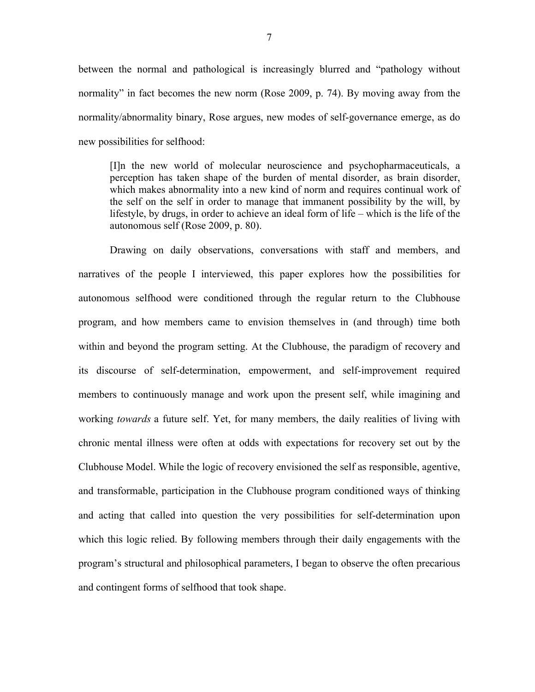between the normal and pathological is increasingly blurred and "pathology without normality" in fact becomes the new norm (Rose 2009, p. 74). By moving away from the normality/abnormality binary, Rose argues, new modes of self-governance emerge, as do new possibilities for selfhood:

[I]n the new world of molecular neuroscience and psychopharmaceuticals, a perception has taken shape of the burden of mental disorder, as brain disorder, which makes abnormality into a new kind of norm and requires continual work of the self on the self in order to manage that immanent possibility by the will, by lifestyle, by drugs, in order to achieve an ideal form of life – which is the life of the autonomous self (Rose 2009, p. 80).

Drawing on daily observations, conversations with staff and members, and narratives of the people I interviewed, this paper explores how the possibilities for autonomous selfhood were conditioned through the regular return to the Clubhouse program, and how members came to envision themselves in (and through) time both within and beyond the program setting. At the Clubhouse, the paradigm of recovery and its discourse of self-determination, empowerment, and self-improvement required members to continuously manage and work upon the present self, while imagining and working *towards* a future self. Yet, for many members, the daily realities of living with chronic mental illness were often at odds with expectations for recovery set out by the Clubhouse Model. While the logic of recovery envisioned the self as responsible, agentive, and transformable, participation in the Clubhouse program conditioned ways of thinking and acting that called into question the very possibilities for self-determination upon which this logic relied. By following members through their daily engagements with the program's structural and philosophical parameters, I began to observe the often precarious and contingent forms of selfhood that took shape.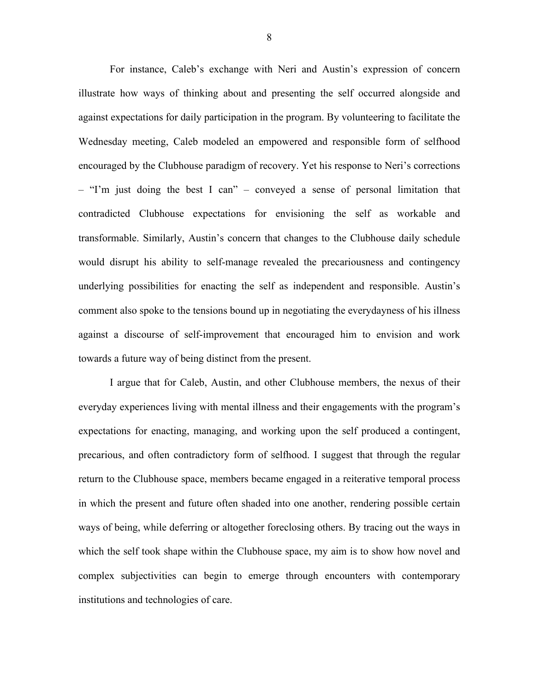For instance, Caleb's exchange with Neri and Austin's expression of concern illustrate how ways of thinking about and presenting the self occurred alongside and against expectations for daily participation in the program. By volunteering to facilitate the Wednesday meeting, Caleb modeled an empowered and responsible form of selfhood encouraged by the Clubhouse paradigm of recovery. Yet his response to Neri's corrections – "I'm just doing the best I can" – conveyed a sense of personal limitation that contradicted Clubhouse expectations for envisioning the self as workable and transformable. Similarly, Austin's concern that changes to the Clubhouse daily schedule would disrupt his ability to self-manage revealed the precariousness and contingency underlying possibilities for enacting the self as independent and responsible. Austin's comment also spoke to the tensions bound up in negotiating the everydayness of his illness against a discourse of self-improvement that encouraged him to envision and work towards a future way of being distinct from the present.

I argue that for Caleb, Austin, and other Clubhouse members, the nexus of their everyday experiences living with mental illness and their engagements with the program's expectations for enacting, managing, and working upon the self produced a contingent, precarious, and often contradictory form of selfhood. I suggest that through the regular return to the Clubhouse space, members became engaged in a reiterative temporal process in which the present and future often shaded into one another, rendering possible certain ways of being, while deferring or altogether foreclosing others. By tracing out the ways in which the self took shape within the Clubhouse space, my aim is to show how novel and complex subjectivities can begin to emerge through encounters with contemporary institutions and technologies of care.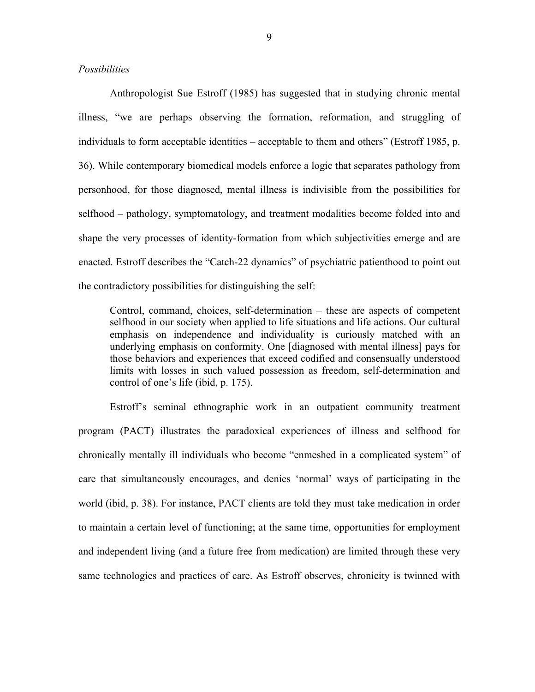#### *Possibilities*

Anthropologist Sue Estroff (1985) has suggested that in studying chronic mental illness, "we are perhaps observing the formation, reformation, and struggling of individuals to form acceptable identities – acceptable to them and others" (Estroff 1985, p. 36). While contemporary biomedical models enforce a logic that separates pathology from personhood, for those diagnosed, mental illness is indivisible from the possibilities for selfhood – pathology, symptomatology, and treatment modalities become folded into and shape the very processes of identity-formation from which subjectivities emerge and are enacted. Estroff describes the "Catch-22 dynamics" of psychiatric patienthood to point out the contradictory possibilities for distinguishing the self:

Control, command, choices, self-determination – these are aspects of competent selfhood in our society when applied to life situations and life actions. Our cultural emphasis on independence and individuality is curiously matched with an underlying emphasis on conformity. One [diagnosed with mental illness] pays for those behaviors and experiences that exceed codified and consensually understood limits with losses in such valued possession as freedom, self-determination and control of one's life (ibid, p. 175).

Estroff's seminal ethnographic work in an outpatient community treatment program (PACT) illustrates the paradoxical experiences of illness and selfhood for chronically mentally ill individuals who become "enmeshed in a complicated system" of care that simultaneously encourages, and denies 'normal' ways of participating in the world (ibid, p. 38). For instance, PACT clients are told they must take medication in order to maintain a certain level of functioning; at the same time, opportunities for employment and independent living (and a future free from medication) are limited through these very same technologies and practices of care. As Estroff observes, chronicity is twinned with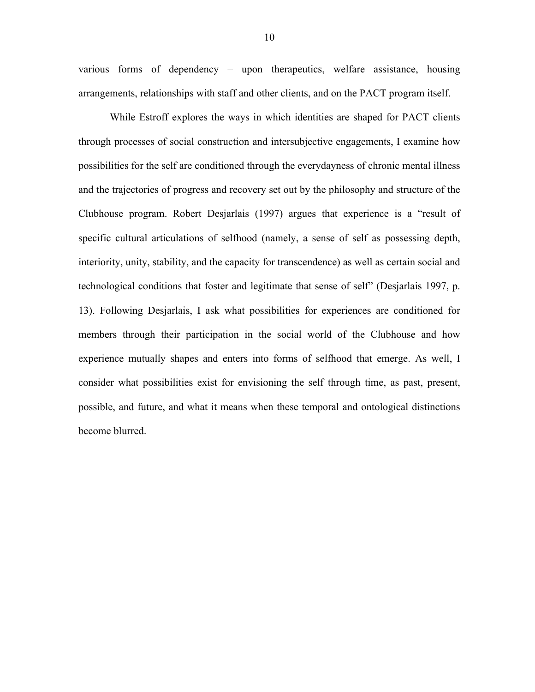various forms of dependency – upon therapeutics, welfare assistance, housing arrangements, relationships with staff and other clients, and on the PACT program itself.

While Estroff explores the ways in which identities are shaped for PACT clients through processes of social construction and intersubjective engagements, I examine how possibilities for the self are conditioned through the everydayness of chronic mental illness and the trajectories of progress and recovery set out by the philosophy and structure of the Clubhouse program. Robert Desjarlais (1997) argues that experience is a "result of specific cultural articulations of selfhood (namely, a sense of self as possessing depth, interiority, unity, stability, and the capacity for transcendence) as well as certain social and technological conditions that foster and legitimate that sense of self" (Desjarlais 1997, p. 13). Following Desjarlais, I ask what possibilities for experiences are conditioned for members through their participation in the social world of the Clubhouse and how experience mutually shapes and enters into forms of selfhood that emerge. As well, I consider what possibilities exist for envisioning the self through time, as past, present, possible, and future, and what it means when these temporal and ontological distinctions become blurred.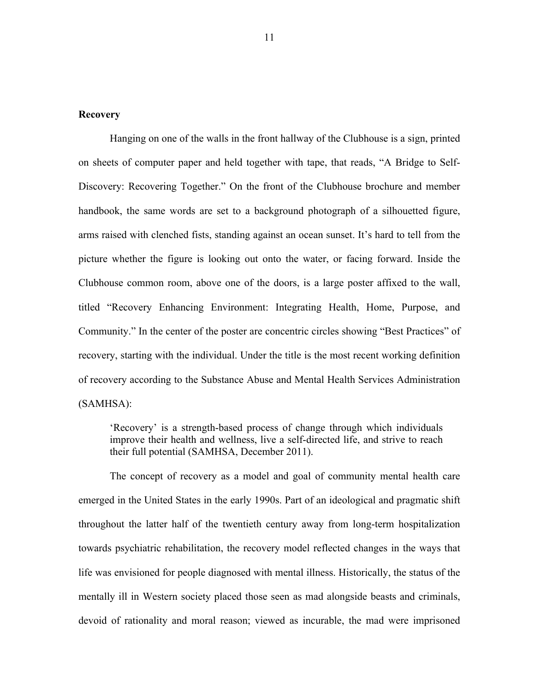#### **Recovery**

Hanging on one of the walls in the front hallway of the Clubhouse is a sign, printed on sheets of computer paper and held together with tape, that reads, "A Bridge to Self-Discovery: Recovering Together." On the front of the Clubhouse brochure and member handbook, the same words are set to a background photograph of a silhouetted figure, arms raised with clenched fists, standing against an ocean sunset. It's hard to tell from the picture whether the figure is looking out onto the water, or facing forward. Inside the Clubhouse common room, above one of the doors, is a large poster affixed to the wall, titled "Recovery Enhancing Environment: Integrating Health, Home, Purpose, and Community." In the center of the poster are concentric circles showing "Best Practices" of recovery, starting with the individual. Under the title is the most recent working definition of recovery according to the Substance Abuse and Mental Health Services Administration (SAMHSA):

'Recovery' is a strength-based process of change through which individuals improve their health and wellness, live a self-directed life, and strive to reach their full potential (SAMHSA, December 2011).

The concept of recovery as a model and goal of community mental health care emerged in the United States in the early 1990s. Part of an ideological and pragmatic shift throughout the latter half of the twentieth century away from long-term hospitalization towards psychiatric rehabilitation, the recovery model reflected changes in the ways that life was envisioned for people diagnosed with mental illness. Historically, the status of the mentally ill in Western society placed those seen as mad alongside beasts and criminals, devoid of rationality and moral reason; viewed as incurable, the mad were imprisoned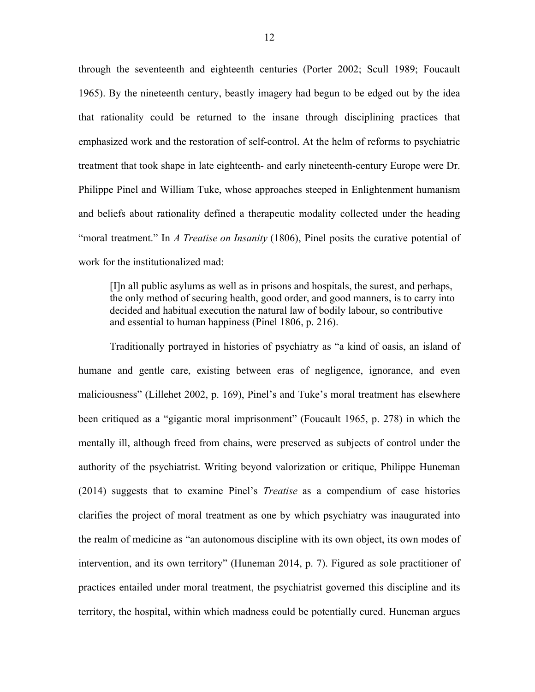through the seventeenth and eighteenth centuries (Porter 2002; Scull 1989; Foucault 1965). By the nineteenth century, beastly imagery had begun to be edged out by the idea that rationality could be returned to the insane through disciplining practices that emphasized work and the restoration of self-control. At the helm of reforms to psychiatric treatment that took shape in late eighteenth- and early nineteenth-century Europe were Dr. Philippe Pinel and William Tuke, whose approaches steeped in Enlightenment humanism and beliefs about rationality defined a therapeutic modality collected under the heading "moral treatment." In *A Treatise on Insanity* (1806), Pinel posits the curative potential of work for the institutionalized mad:

[I]n all public asylums as well as in prisons and hospitals, the surest, and perhaps, the only method of securing health, good order, and good manners, is to carry into decided and habitual execution the natural law of bodily labour, so contributive and essential to human happiness (Pinel 1806, p. 216).

Traditionally portrayed in histories of psychiatry as "a kind of oasis, an island of humane and gentle care, existing between eras of negligence, ignorance, and even maliciousness" (Lillehet 2002, p. 169), Pinel's and Tuke's moral treatment has elsewhere been critiqued as a "gigantic moral imprisonment" (Foucault 1965, p. 278) in which the mentally ill, although freed from chains, were preserved as subjects of control under the authority of the psychiatrist. Writing beyond valorization or critique, Philippe Huneman (2014) suggests that to examine Pinel's *Treatise* as a compendium of case histories clarifies the project of moral treatment as one by which psychiatry was inaugurated into the realm of medicine as "an autonomous discipline with its own object, its own modes of intervention, and its own territory" (Huneman 2014, p. 7). Figured as sole practitioner of practices entailed under moral treatment, the psychiatrist governed this discipline and its territory, the hospital, within which madness could be potentially cured. Huneman argues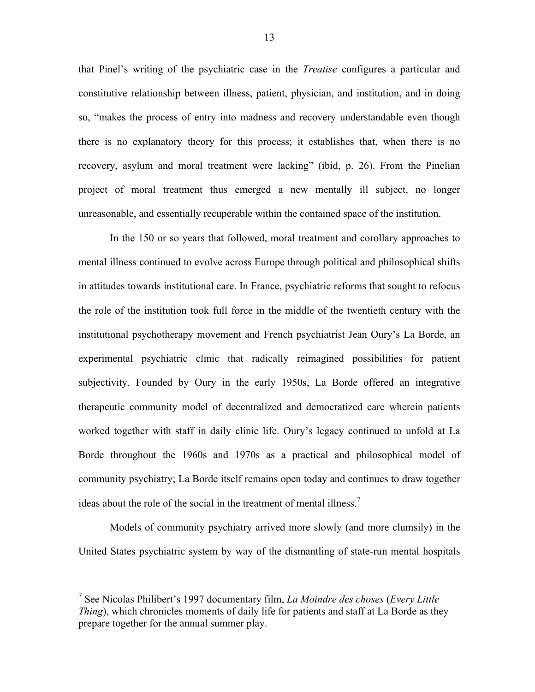that Pinel's writing of the psychiatric case in the *Treatise* configures a particular and constitutive relationship between illness, patient, physician, and institution, and in doing so, "makes the process of entry into madness and recovery understandable even though there is no explanatory theory for this process; it establishes that, when there is no recovery, asylum and moral treatment were lacking" (ibid, p. 26). From the Pinelian project of moral treatment thus emerged a new mentally ill subject, no longer unreasonable, and essentially recuperable within the contained space of the institution.

In the 150 or so years that followed, moral treatment and corollary approaches to mental illness continued to evolve across Europe through political and philosophical shifts in attitudes towards institutional care. In France, psychiatric reforms that sought to refocus the role of the institution took full force in the middle of the twentieth century with the institutional psychotherapy movement and French psychiatrist Jean Oury's La Borde, an experimental psychiatric clinic that radically reimagined possibilities for patient subjectivity. Founded by Oury in the early 1950s, La Borde offered an integrative therapeutic community model of decentralized and democratized care wherein patients worked together with staff in daily clinic life. Oury's legacy continued to unfold at La Borde throughout the 1960s and 1970s as a practical and philosophical model of community psychiatry; La Borde itself remains open today and continues to draw together ideas about the role of the social in the treatment of mental illness.<sup>7</sup>

Models of community psychiatry arrived more slowly (and more clumsily) in the United States psychiatric system by way of the dismantling of state-run mental hospitals

 <sup>7</sup> See Nicolas Philibert's 1997 documentary film, *La Moindre des choses* (*Every Little Thing*), which chronicles moments of daily life for patients and staff at La Borde as they prepare together for the annual summer play.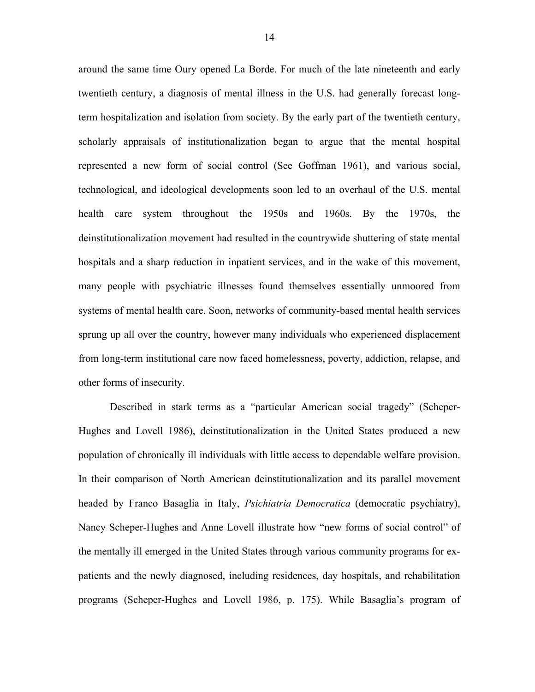around the same time Oury opened La Borde. For much of the late nineteenth and early twentieth century, a diagnosis of mental illness in the U.S. had generally forecast longterm hospitalization and isolation from society. By the early part of the twentieth century, scholarly appraisals of institutionalization began to argue that the mental hospital represented a new form of social control (See Goffman 1961), and various social, technological, and ideological developments soon led to an overhaul of the U.S. mental health care system throughout the 1950s and 1960s. By the 1970s, the deinstitutionalization movement had resulted in the countrywide shuttering of state mental hospitals and a sharp reduction in inpatient services, and in the wake of this movement, many people with psychiatric illnesses found themselves essentially unmoored from systems of mental health care. Soon, networks of community-based mental health services sprung up all over the country, however many individuals who experienced displacement from long-term institutional care now faced homelessness, poverty, addiction, relapse, and other forms of insecurity.

Described in stark terms as a "particular American social tragedy" (Scheper-Hughes and Lovell 1986), deinstitutionalization in the United States produced a new population of chronically ill individuals with little access to dependable welfare provision. In their comparison of North American deinstitutionalization and its parallel movement headed by Franco Basaglia in Italy, *Psichiatria Democratica* (democratic psychiatry), Nancy Scheper-Hughes and Anne Lovell illustrate how "new forms of social control" of the mentally ill emerged in the United States through various community programs for expatients and the newly diagnosed, including residences, day hospitals, and rehabilitation programs (Scheper-Hughes and Lovell 1986, p. 175). While Basaglia's program of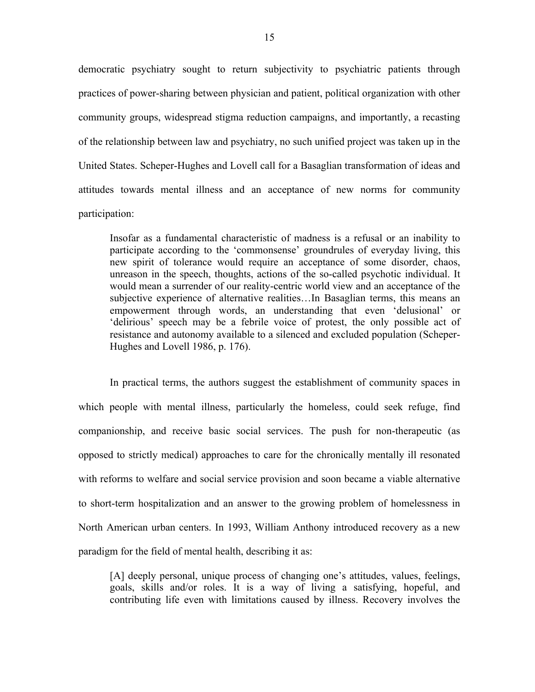democratic psychiatry sought to return subjectivity to psychiatric patients through practices of power-sharing between physician and patient, political organization with other community groups, widespread stigma reduction campaigns, and importantly, a recasting of the relationship between law and psychiatry, no such unified project was taken up in the United States. Scheper-Hughes and Lovell call for a Basaglian transformation of ideas and attitudes towards mental illness and an acceptance of new norms for community participation:

Insofar as a fundamental characteristic of madness is a refusal or an inability to participate according to the 'commonsense' groundrules of everyday living, this new spirit of tolerance would require an acceptance of some disorder, chaos, unreason in the speech, thoughts, actions of the so-called psychotic individual. It would mean a surrender of our reality-centric world view and an acceptance of the subjective experience of alternative realities…In Basaglian terms, this means an empowerment through words, an understanding that even 'delusional' or 'delirious' speech may be a febrile voice of protest, the only possible act of resistance and autonomy available to a silenced and excluded population (Scheper-Hughes and Lovell 1986, p. 176).

In practical terms, the authors suggest the establishment of community spaces in which people with mental illness, particularly the homeless, could seek refuge, find companionship, and receive basic social services. The push for non-therapeutic (as opposed to strictly medical) approaches to care for the chronically mentally ill resonated with reforms to welfare and social service provision and soon became a viable alternative to short-term hospitalization and an answer to the growing problem of homelessness in North American urban centers. In 1993, William Anthony introduced recovery as a new paradigm for the field of mental health, describing it as:

[A] deeply personal, unique process of changing one's attitudes, values, feelings, goals, skills and/or roles. It is a way of living a satisfying, hopeful, and contributing life even with limitations caused by illness. Recovery involves the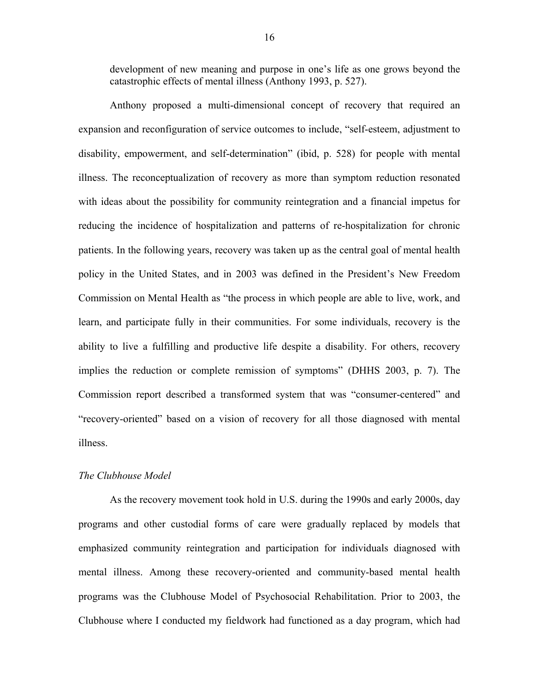development of new meaning and purpose in one's life as one grows beyond the catastrophic effects of mental illness (Anthony 1993, p. 527).

Anthony proposed a multi-dimensional concept of recovery that required an expansion and reconfiguration of service outcomes to include, "self-esteem, adjustment to disability, empowerment, and self-determination" (ibid, p. 528) for people with mental illness. The reconceptualization of recovery as more than symptom reduction resonated with ideas about the possibility for community reintegration and a financial impetus for reducing the incidence of hospitalization and patterns of re-hospitalization for chronic patients. In the following years, recovery was taken up as the central goal of mental health policy in the United States, and in 2003 was defined in the President's New Freedom Commission on Mental Health as "the process in which people are able to live, work, and learn, and participate fully in their communities. For some individuals, recovery is the ability to live a fulfilling and productive life despite a disability. For others, recovery implies the reduction or complete remission of symptoms" (DHHS 2003, p. 7). The Commission report described a transformed system that was "consumer-centered" and "recovery-oriented" based on a vision of recovery for all those diagnosed with mental illness.

#### *The Clubhouse Model*

As the recovery movement took hold in U.S. during the 1990s and early 2000s, day programs and other custodial forms of care were gradually replaced by models that emphasized community reintegration and participation for individuals diagnosed with mental illness. Among these recovery-oriented and community-based mental health programs was the Clubhouse Model of Psychosocial Rehabilitation. Prior to 2003, the Clubhouse where I conducted my fieldwork had functioned as a day program, which had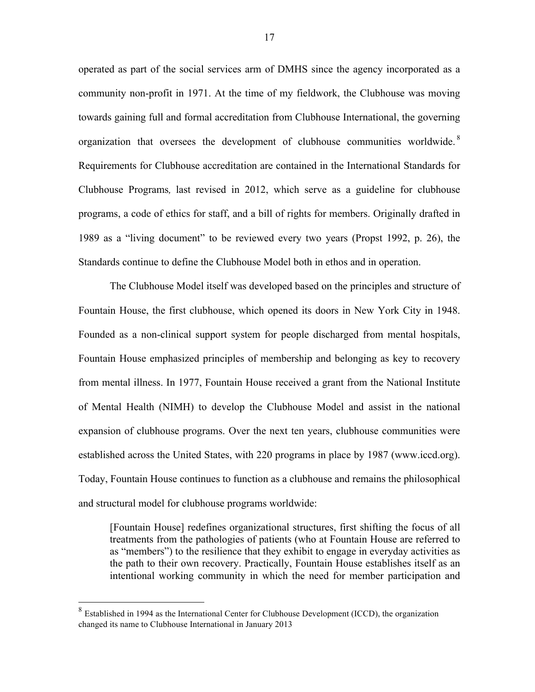operated as part of the social services arm of DMHS since the agency incorporated as a community non-profit in 1971. At the time of my fieldwork, the Clubhouse was moving towards gaining full and formal accreditation from Clubhouse International, the governing organization that oversees the development of clubhouse communities worldwide.<sup>8</sup> Requirements for Clubhouse accreditation are contained in the International Standards for Clubhouse Programs*,* last revised in 2012, which serve as a guideline for clubhouse programs, a code of ethics for staff, and a bill of rights for members. Originally drafted in 1989 as a "living document" to be reviewed every two years (Propst 1992, p. 26), the Standards continue to define the Clubhouse Model both in ethos and in operation.

The Clubhouse Model itself was developed based on the principles and structure of Fountain House, the first clubhouse, which opened its doors in New York City in 1948. Founded as a non-clinical support system for people discharged from mental hospitals, Fountain House emphasized principles of membership and belonging as key to recovery from mental illness. In 1977, Fountain House received a grant from the National Institute of Mental Health (NIMH) to develop the Clubhouse Model and assist in the national expansion of clubhouse programs. Over the next ten years, clubhouse communities were established across the United States, with 220 programs in place by 1987 (www.iccd.org). Today, Fountain House continues to function as a clubhouse and remains the philosophical and structural model for clubhouse programs worldwide:

[Fountain House] redefines organizational structures, first shifting the focus of all treatments from the pathologies of patients (who at Fountain House are referred to as "members") to the resilience that they exhibit to engage in everyday activities as the path to their own recovery. Practically, Fountain House establishes itself as an intentional working community in which the need for member participation and

 <sup>8</sup> Established in 1994 as the International Center for Clubhouse Development (ICCD), the organization changed its name to Clubhouse International in January 2013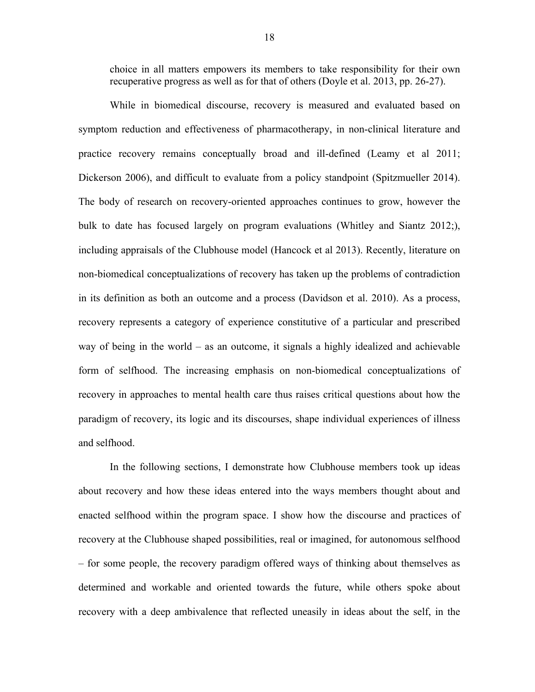choice in all matters empowers its members to take responsibility for their own recuperative progress as well as for that of others (Doyle et al. 2013, pp. 26-27).

While in biomedical discourse, recovery is measured and evaluated based on symptom reduction and effectiveness of pharmacotherapy, in non-clinical literature and practice recovery remains conceptually broad and ill-defined (Leamy et al 2011; Dickerson 2006), and difficult to evaluate from a policy standpoint (Spitzmueller 2014). The body of research on recovery-oriented approaches continues to grow, however the bulk to date has focused largely on program evaluations (Whitley and Siantz 2012;), including appraisals of the Clubhouse model (Hancock et al 2013). Recently, literature on non-biomedical conceptualizations of recovery has taken up the problems of contradiction in its definition as both an outcome and a process (Davidson et al. 2010). As a process, recovery represents a category of experience constitutive of a particular and prescribed way of being in the world – as an outcome, it signals a highly idealized and achievable form of selfhood. The increasing emphasis on non-biomedical conceptualizations of recovery in approaches to mental health care thus raises critical questions about how the paradigm of recovery, its logic and its discourses, shape individual experiences of illness and selfhood.

In the following sections, I demonstrate how Clubhouse members took up ideas about recovery and how these ideas entered into the ways members thought about and enacted selfhood within the program space. I show how the discourse and practices of recovery at the Clubhouse shaped possibilities, real or imagined, for autonomous selfhood – for some people, the recovery paradigm offered ways of thinking about themselves as determined and workable and oriented towards the future, while others spoke about recovery with a deep ambivalence that reflected uneasily in ideas about the self, in the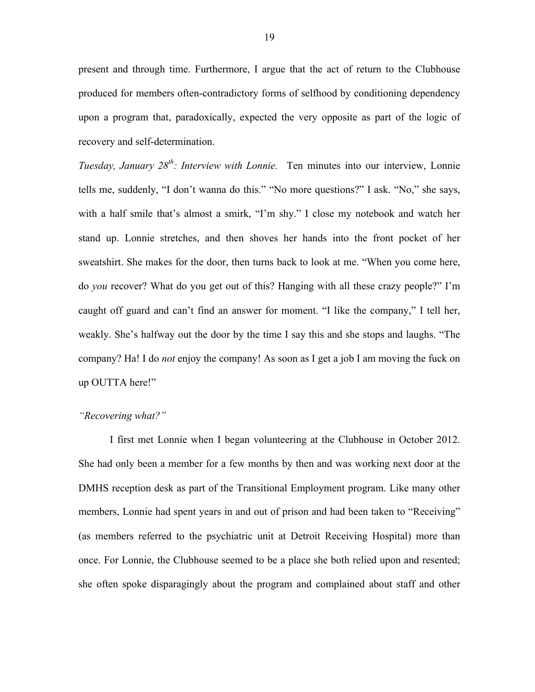present and through time. Furthermore, I argue that the act of return to the Clubhouse produced for members often-contradictory forms of selfhood by conditioning dependency upon a program that, paradoxically, expected the very opposite as part of the logic of recovery and self-determination.

*Tuesday, January 28th: Interview with Lonnie.* Ten minutes into our interview, Lonnie tells me, suddenly, "I don't wanna do this." "No more questions?" I ask. "No," she says, with a half smile that's almost a smirk, "I'm shy." I close my notebook and watch her stand up. Lonnie stretches, and then shoves her hands into the front pocket of her sweatshirt. She makes for the door, then turns back to look at me. "When you come here, do *you* recover? What do you get out of this? Hanging with all these crazy people?" I'm caught off guard and can't find an answer for moment. "I like the company," I tell her, weakly. She's halfway out the door by the time I say this and she stops and laughs. "The company? Ha! I do *not* enjoy the company! As soon as I get a job I am moving the fuck on up OUTTA here!"

# *"Recovering what?"*

I first met Lonnie when I began volunteering at the Clubhouse in October 2012. She had only been a member for a few months by then and was working next door at the DMHS reception desk as part of the Transitional Employment program. Like many other members, Lonnie had spent years in and out of prison and had been taken to "Receiving" (as members referred to the psychiatric unit at Detroit Receiving Hospital) more than once. For Lonnie, the Clubhouse seemed to be a place she both relied upon and resented; she often spoke disparagingly about the program and complained about staff and other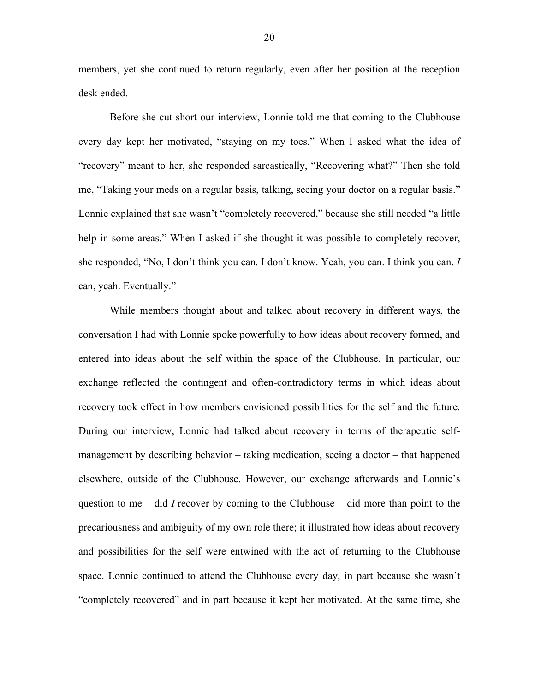members, yet she continued to return regularly, even after her position at the reception desk ended.

Before she cut short our interview, Lonnie told me that coming to the Clubhouse every day kept her motivated, "staying on my toes." When I asked what the idea of "recovery" meant to her, she responded sarcastically, "Recovering what?" Then she told me, "Taking your meds on a regular basis, talking, seeing your doctor on a regular basis." Lonnie explained that she wasn't "completely recovered," because she still needed "a little help in some areas." When I asked if she thought it was possible to completely recover, she responded, "No, I don't think you can. I don't know. Yeah, you can. I think you can. *I*  can, yeah. Eventually."

While members thought about and talked about recovery in different ways, the conversation I had with Lonnie spoke powerfully to how ideas about recovery formed, and entered into ideas about the self within the space of the Clubhouse. In particular, our exchange reflected the contingent and often-contradictory terms in which ideas about recovery took effect in how members envisioned possibilities for the self and the future. During our interview, Lonnie had talked about recovery in terms of therapeutic selfmanagement by describing behavior – taking medication, seeing a doctor – that happened elsewhere, outside of the Clubhouse. However, our exchange afterwards and Lonnie's question to me – did *I* recover by coming to the Clubhouse – did more than point to the precariousness and ambiguity of my own role there; it illustrated how ideas about recovery and possibilities for the self were entwined with the act of returning to the Clubhouse space. Lonnie continued to attend the Clubhouse every day, in part because she wasn't "completely recovered" and in part because it kept her motivated. At the same time, she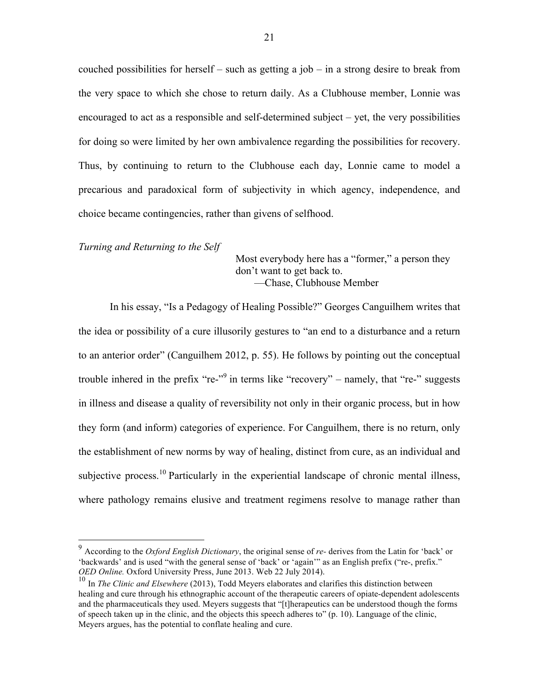couched possibilities for herself – such as getting a job – in a strong desire to break from the very space to which she chose to return daily. As a Clubhouse member, Lonnie was encouraged to act as a responsible and self-determined subject – yet, the very possibilities for doing so were limited by her own ambivalence regarding the possibilities for recovery. Thus, by continuing to return to the Clubhouse each day, Lonnie came to model a precarious and paradoxical form of subjectivity in which agency, independence, and choice became contingencies, rather than givens of selfhood.

*Turning and Returning to the Self*

Most everybody here has a "former," a person they don't want to get back to. ––Chase, Clubhouse Member

In his essay, "Is a Pedagogy of Healing Possible?" Georges Canguilhem writes that the idea or possibility of a cure illusorily gestures to "an end to a disturbance and a return to an anterior order" (Canguilhem 2012, p. 55). He follows by pointing out the conceptual trouble inhered in the prefix "re- $\frac{1}{2}$ " in terms like "recovery" – namely, that "re-" suggests in illness and disease a quality of reversibility not only in their organic process, but in how they form (and inform) categories of experience. For Canguilhem, there is no return, only the establishment of new norms by way of healing, distinct from cure, as an individual and subjective process.<sup>10</sup> Particularly in the experiential landscape of chronic mental illness, where pathology remains elusive and treatment regimens resolve to manage rather than

 <sup>9</sup> According to the *Oxford English Dictionary*, the original sense of *re-* derives from the Latin for 'back' or 'backwards' and is used "with the general sense of 'back' or 'again'" as an English prefix ("re-, prefix." *OED Online.* Oxford University Press, June 2013. Web 22 July 2014).

<sup>&</sup>lt;sup>10</sup> In *The Clinic and Elsewhere* (2013), Todd Meyers elaborates and clarifies this distinction between healing and cure through his ethnographic account of the therapeutic careers of opiate-dependent adolescents and the pharmaceuticals they used. Meyers suggests that "[t]herapeutics can be understood though the forms of speech taken up in the clinic, and the objects this speech adheres to" (p. 10). Language of the clinic, Meyers argues, has the potential to conflate healing and cure.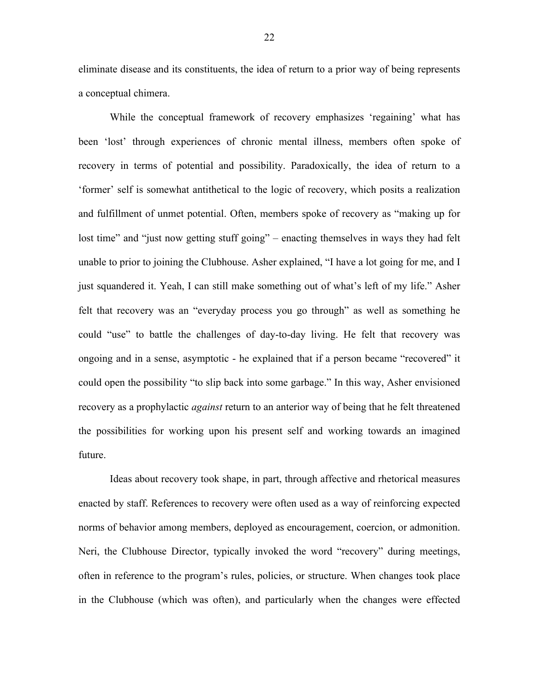eliminate disease and its constituents, the idea of return to a prior way of being represents a conceptual chimera.

While the conceptual framework of recovery emphasizes 'regaining' what has been 'lost' through experiences of chronic mental illness, members often spoke of recovery in terms of potential and possibility. Paradoxically, the idea of return to a 'former' self is somewhat antithetical to the logic of recovery, which posits a realization and fulfillment of unmet potential. Often, members spoke of recovery as "making up for lost time" and "just now getting stuff going" – enacting themselves in ways they had felt unable to prior to joining the Clubhouse. Asher explained, "I have a lot going for me, and I just squandered it. Yeah, I can still make something out of what's left of my life." Asher felt that recovery was an "everyday process you go through" as well as something he could "use" to battle the challenges of day-to-day living. He felt that recovery was ongoing and in a sense, asymptotic - he explained that if a person became "recovered" it could open the possibility "to slip back into some garbage." In this way, Asher envisioned recovery as a prophylactic *against* return to an anterior way of being that he felt threatened the possibilities for working upon his present self and working towards an imagined future.

Ideas about recovery took shape, in part, through affective and rhetorical measures enacted by staff. References to recovery were often used as a way of reinforcing expected norms of behavior among members, deployed as encouragement, coercion, or admonition. Neri, the Clubhouse Director, typically invoked the word "recovery" during meetings, often in reference to the program's rules, policies, or structure. When changes took place in the Clubhouse (which was often), and particularly when the changes were effected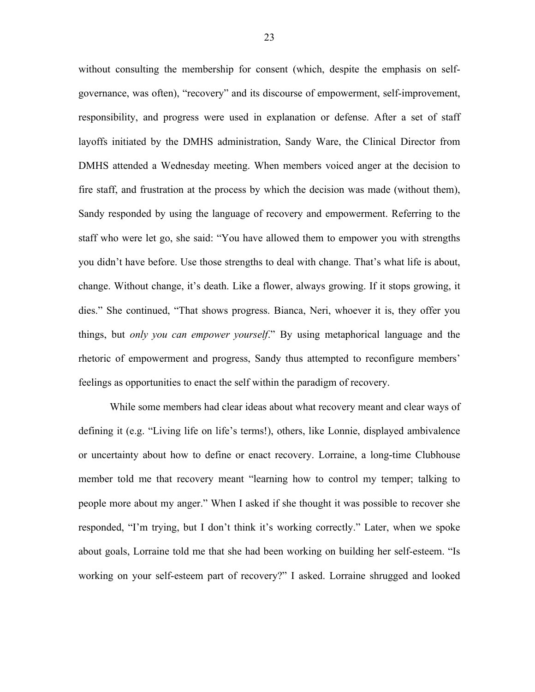without consulting the membership for consent (which, despite the emphasis on selfgovernance, was often), "recovery" and its discourse of empowerment, self-improvement, responsibility, and progress were used in explanation or defense. After a set of staff layoffs initiated by the DMHS administration, Sandy Ware, the Clinical Director from DMHS attended a Wednesday meeting. When members voiced anger at the decision to fire staff, and frustration at the process by which the decision was made (without them), Sandy responded by using the language of recovery and empowerment. Referring to the staff who were let go, she said: "You have allowed them to empower you with strengths you didn't have before. Use those strengths to deal with change. That's what life is about, change. Without change, it's death. Like a flower, always growing. If it stops growing, it dies." She continued, "That shows progress. Bianca, Neri, whoever it is, they offer you things, but *only you can empower yourself*." By using metaphorical language and the rhetoric of empowerment and progress, Sandy thus attempted to reconfigure members' feelings as opportunities to enact the self within the paradigm of recovery.

While some members had clear ideas about what recovery meant and clear ways of defining it (e.g. "Living life on life's terms!), others, like Lonnie, displayed ambivalence or uncertainty about how to define or enact recovery. Lorraine, a long-time Clubhouse member told me that recovery meant "learning how to control my temper; talking to people more about my anger." When I asked if she thought it was possible to recover she responded, "I'm trying, but I don't think it's working correctly." Later, when we spoke about goals, Lorraine told me that she had been working on building her self-esteem. "Is working on your self-esteem part of recovery?" I asked. Lorraine shrugged and looked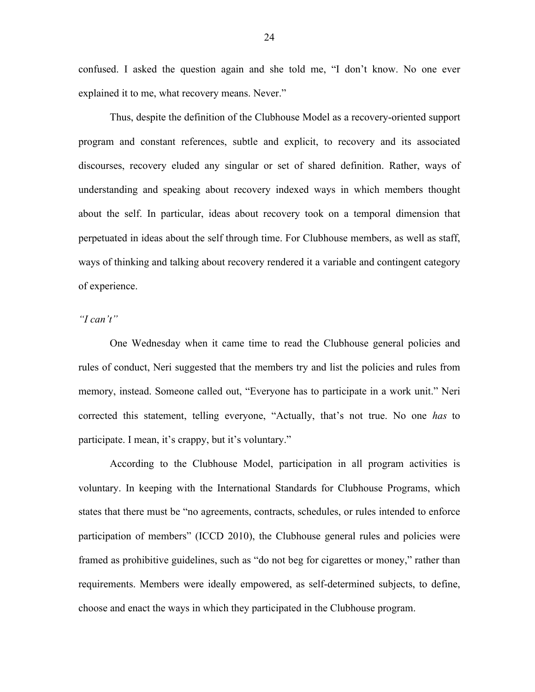confused. I asked the question again and she told me, "I don't know. No one ever explained it to me, what recovery means. Never."

Thus, despite the definition of the Clubhouse Model as a recovery-oriented support program and constant references, subtle and explicit, to recovery and its associated discourses, recovery eluded any singular or set of shared definition. Rather, ways of understanding and speaking about recovery indexed ways in which members thought about the self. In particular, ideas about recovery took on a temporal dimension that perpetuated in ideas about the self through time. For Clubhouse members, as well as staff, ways of thinking and talking about recovery rendered it a variable and contingent category of experience.

# *"I can't"*

One Wednesday when it came time to read the Clubhouse general policies and rules of conduct, Neri suggested that the members try and list the policies and rules from memory, instead. Someone called out, "Everyone has to participate in a work unit." Neri corrected this statement, telling everyone, "Actually, that's not true. No one *has* to participate. I mean, it's crappy, but it's voluntary."

According to the Clubhouse Model, participation in all program activities is voluntary. In keeping with the International Standards for Clubhouse Programs, which states that there must be "no agreements, contracts, schedules, or rules intended to enforce participation of members" (ICCD 2010), the Clubhouse general rules and policies were framed as prohibitive guidelines, such as "do not beg for cigarettes or money," rather than requirements. Members were ideally empowered, as self-determined subjects, to define, choose and enact the ways in which they participated in the Clubhouse program.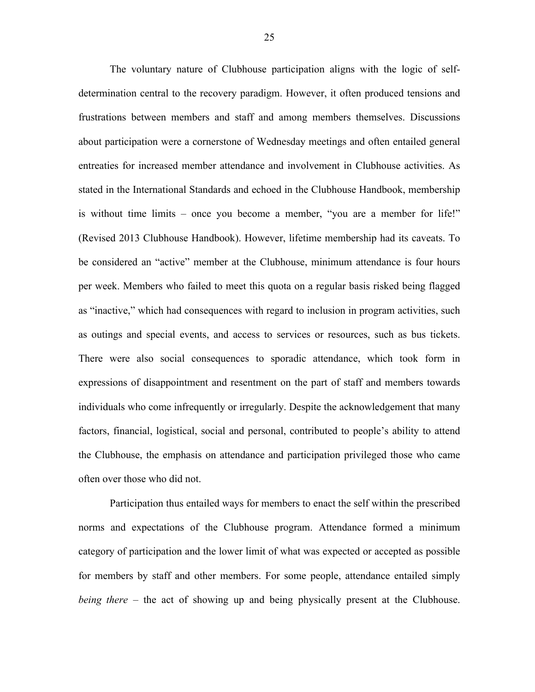The voluntary nature of Clubhouse participation aligns with the logic of selfdetermination central to the recovery paradigm. However, it often produced tensions and frustrations between members and staff and among members themselves. Discussions about participation were a cornerstone of Wednesday meetings and often entailed general entreaties for increased member attendance and involvement in Clubhouse activities. As stated in the International Standards and echoed in the Clubhouse Handbook, membership is without time limits – once you become a member, "you are a member for life!" (Revised 2013 Clubhouse Handbook). However, lifetime membership had its caveats. To be considered an "active" member at the Clubhouse, minimum attendance is four hours per week. Members who failed to meet this quota on a regular basis risked being flagged as "inactive," which had consequences with regard to inclusion in program activities, such as outings and special events, and access to services or resources, such as bus tickets. There were also social consequences to sporadic attendance, which took form in expressions of disappointment and resentment on the part of staff and members towards individuals who come infrequently or irregularly. Despite the acknowledgement that many factors, financial, logistical, social and personal, contributed to people's ability to attend the Clubhouse, the emphasis on attendance and participation privileged those who came often over those who did not.

Participation thus entailed ways for members to enact the self within the prescribed norms and expectations of the Clubhouse program. Attendance formed a minimum category of participation and the lower limit of what was expected or accepted as possible for members by staff and other members. For some people, attendance entailed simply *being there* – the act of showing up and being physically present at the Clubhouse.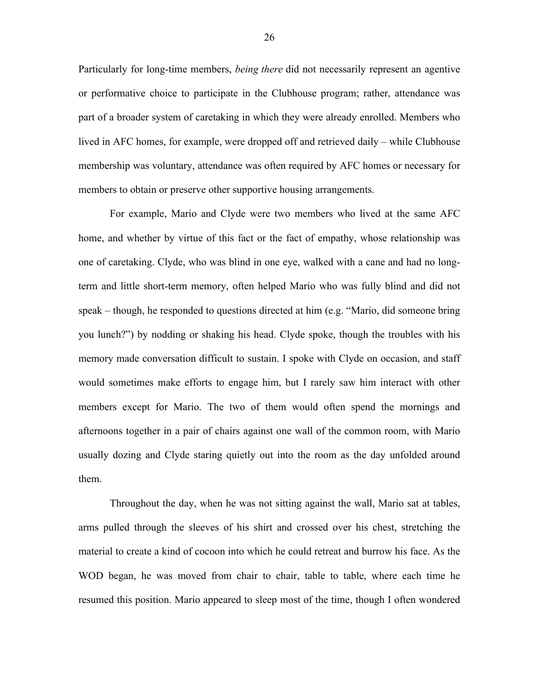Particularly for long-time members, *being there* did not necessarily represent an agentive or performative choice to participate in the Clubhouse program; rather, attendance was part of a broader system of caretaking in which they were already enrolled. Members who lived in AFC homes, for example, were dropped off and retrieved daily – while Clubhouse membership was voluntary, attendance was often required by AFC homes or necessary for members to obtain or preserve other supportive housing arrangements.

For example, Mario and Clyde were two members who lived at the same AFC home, and whether by virtue of this fact or the fact of empathy, whose relationship was one of caretaking. Clyde, who was blind in one eye, walked with a cane and had no longterm and little short-term memory, often helped Mario who was fully blind and did not speak – though, he responded to questions directed at him (e.g. "Mario, did someone bring you lunch?") by nodding or shaking his head. Clyde spoke, though the troubles with his memory made conversation difficult to sustain. I spoke with Clyde on occasion, and staff would sometimes make efforts to engage him, but I rarely saw him interact with other members except for Mario. The two of them would often spend the mornings and afternoons together in a pair of chairs against one wall of the common room, with Mario usually dozing and Clyde staring quietly out into the room as the day unfolded around them.

Throughout the day, when he was not sitting against the wall, Mario sat at tables, arms pulled through the sleeves of his shirt and crossed over his chest, stretching the material to create a kind of cocoon into which he could retreat and burrow his face. As the WOD began, he was moved from chair to chair, table to table, where each time he resumed this position. Mario appeared to sleep most of the time, though I often wondered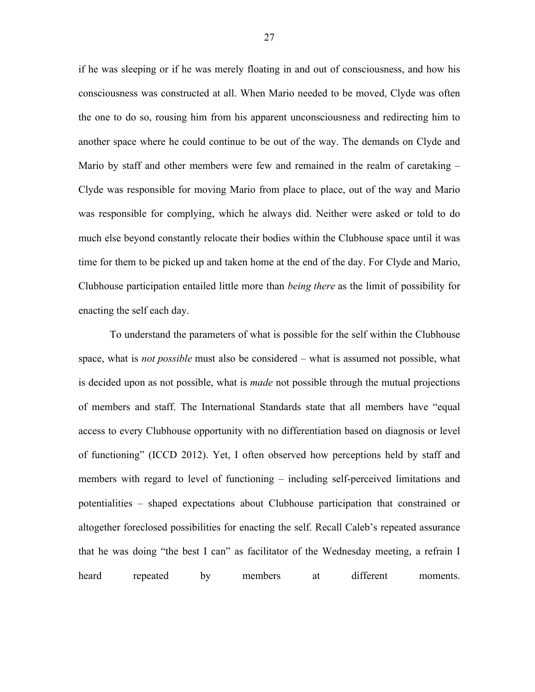if he was sleeping or if he was merely floating in and out of consciousness, and how his consciousness was constructed at all. When Mario needed to be moved, Clyde was often the one to do so, rousing him from his apparent unconsciousness and redirecting him to another space where he could continue to be out of the way. The demands on Clyde and Mario by staff and other members were few and remained in the realm of caretaking – Clyde was responsible for moving Mario from place to place, out of the way and Mario was responsible for complying, which he always did. Neither were asked or told to do much else beyond constantly relocate their bodies within the Clubhouse space until it was time for them to be picked up and taken home at the end of the day. For Clyde and Mario, Clubhouse participation entailed little more than *being there* as the limit of possibility for enacting the self each day.

To understand the parameters of what is possible for the self within the Clubhouse space, what is *not possible* must also be considered – what is assumed not possible, what is decided upon as not possible, what is *made* not possible through the mutual projections of members and staff. The International Standards state that all members have "equal access to every Clubhouse opportunity with no differentiation based on diagnosis or level of functioning" (ICCD 2012). Yet, I often observed how perceptions held by staff and members with regard to level of functioning – including self-perceived limitations and potentialities – shaped expectations about Clubhouse participation that constrained or altogether foreclosed possibilities for enacting the self. Recall Caleb's repeated assurance that he was doing "the best I can" as facilitator of the Wednesday meeting, a refrain I heard repeated by members at different moments.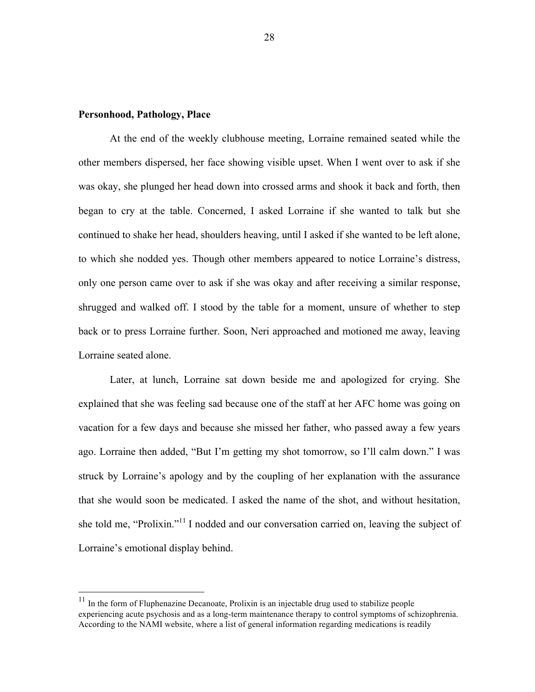#### **Personhood, Pathology, Place**

At the end of the weekly clubhouse meeting, Lorraine remained seated while the other members dispersed, her face showing visible upset. When I went over to ask if she was okay, she plunged her head down into crossed arms and shook it back and forth, then began to cry at the table. Concerned, I asked Lorraine if she wanted to talk but she continued to shake her head, shoulders heaving, until I asked if she wanted to be left alone, to which she nodded yes. Though other members appeared to notice Lorraine's distress, only one person came over to ask if she was okay and after receiving a similar response, shrugged and walked off. I stood by the table for a moment, unsure of whether to step back or to press Lorraine further. Soon, Neri approached and motioned me away, leaving Lorraine seated alone.

Later, at lunch, Lorraine sat down beside me and apologized for crying. She explained that she was feeling sad because one of the staff at her AFC home was going on vacation for a few days and because she missed her father, who passed away a few years ago. Lorraine then added, "But I'm getting my shot tomorrow, so I'll calm down." I was struck by Lorraine's apology and by the coupling of her explanation with the assurance that she would soon be medicated. I asked the name of the shot, and without hesitation, she told me, "Prolixin."<sup>11</sup> I nodded and our conversation carried on, leaving the subject of Lorraine's emotional display behind.

 <sup>11</sup> In the form of Fluphenazine Decanoate, Prolixin is an injectable drug used to stabilize people experiencing acute psychosis and as a long-term maintenance therapy to control symptoms of schizophrenia. According to the NAMI website, where a list of general information regarding medications is readily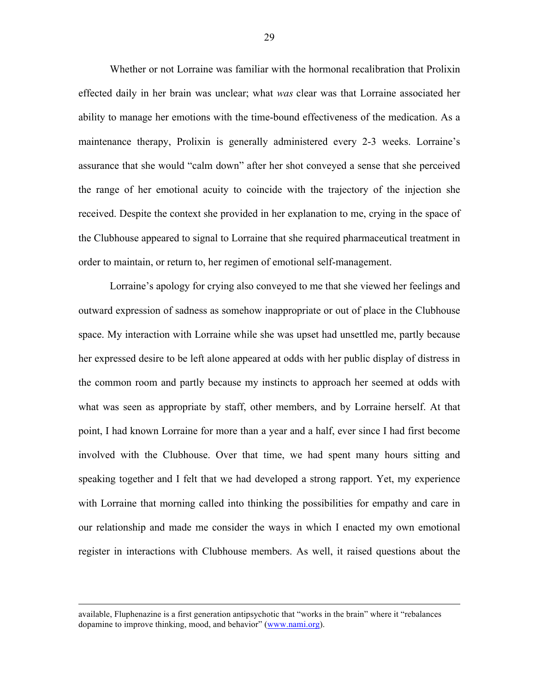Whether or not Lorraine was familiar with the hormonal recalibration that Prolixin effected daily in her brain was unclear; what *was* clear was that Lorraine associated her ability to manage her emotions with the time-bound effectiveness of the medication. As a maintenance therapy, Prolixin is generally administered every 2-3 weeks. Lorraine's assurance that she would "calm down" after her shot conveyed a sense that she perceived the range of her emotional acuity to coincide with the trajectory of the injection she received. Despite the context she provided in her explanation to me, crying in the space of the Clubhouse appeared to signal to Lorraine that she required pharmaceutical treatment in order to maintain, or return to, her regimen of emotional self-management.

Lorraine's apology for crying also conveyed to me that she viewed her feelings and outward expression of sadness as somehow inappropriate or out of place in the Clubhouse space. My interaction with Lorraine while she was upset had unsettled me, partly because her expressed desire to be left alone appeared at odds with her public display of distress in the common room and partly because my instincts to approach her seemed at odds with what was seen as appropriate by staff, other members, and by Lorraine herself. At that point, I had known Lorraine for more than a year and a half, ever since I had first become involved with the Clubhouse. Over that time, we had spent many hours sitting and speaking together and I felt that we had developed a strong rapport. Yet, my experience with Lorraine that morning called into thinking the possibilities for empathy and care in our relationship and made me consider the ways in which I enacted my own emotional register in interactions with Clubhouse members. As well, it raised questions about the

available, Fluphenazine is a first generation antipsychotic that "works in the brain" where it "rebalances dopamine to improve thinking, mood, and behavior" (www.nami.org).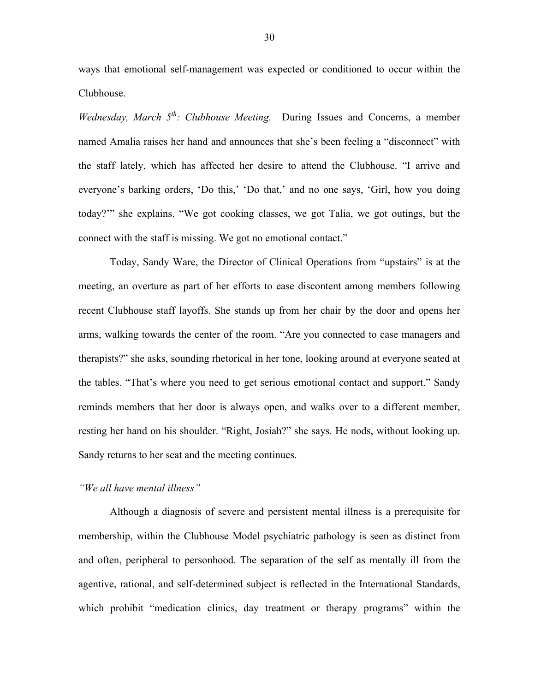ways that emotional self-management was expected or conditioned to occur within the Clubhouse.

*Wednesday, March 5th: Clubhouse Meeting.* During Issues and Concerns, a member named Amalia raises her hand and announces that she's been feeling a "disconnect" with the staff lately, which has affected her desire to attend the Clubhouse. "I arrive and everyone's barking orders, 'Do this,' 'Do that,' and no one says, 'Girl, how you doing today?'" she explains. "We got cooking classes, we got Talia, we got outings, but the connect with the staff is missing. We got no emotional contact."

Today, Sandy Ware, the Director of Clinical Operations from "upstairs" is at the meeting, an overture as part of her efforts to ease discontent among members following recent Clubhouse staff layoffs. She stands up from her chair by the door and opens her arms, walking towards the center of the room. "Are you connected to case managers and therapists?" she asks, sounding rhetorical in her tone, looking around at everyone seated at the tables. "That's where you need to get serious emotional contact and support." Sandy reminds members that her door is always open, and walks over to a different member, resting her hand on his shoulder. "Right, Josiah?" she says. He nods, without looking up. Sandy returns to her seat and the meeting continues.

## *"We all have mental illness"*

Although a diagnosis of severe and persistent mental illness is a prerequisite for membership, within the Clubhouse Model psychiatric pathology is seen as distinct from and often, peripheral to personhood. The separation of the self as mentally ill from the agentive, rational, and self-determined subject is reflected in the International Standards, which prohibit "medication clinics, day treatment or therapy programs" within the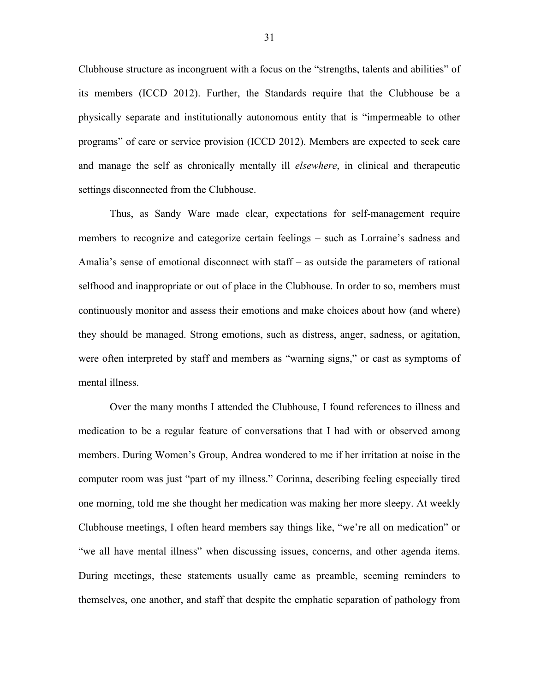Clubhouse structure as incongruent with a focus on the "strengths, talents and abilities" of its members (ICCD 2012). Further, the Standards require that the Clubhouse be a physically separate and institutionally autonomous entity that is "impermeable to other programs" of care or service provision (ICCD 2012). Members are expected to seek care and manage the self as chronically mentally ill *elsewhere*, in clinical and therapeutic settings disconnected from the Clubhouse.

Thus, as Sandy Ware made clear, expectations for self-management require members to recognize and categorize certain feelings – such as Lorraine's sadness and Amalia's sense of emotional disconnect with staff – as outside the parameters of rational selfhood and inappropriate or out of place in the Clubhouse. In order to so, members must continuously monitor and assess their emotions and make choices about how (and where) they should be managed. Strong emotions, such as distress, anger, sadness, or agitation, were often interpreted by staff and members as "warning signs," or cast as symptoms of mental illness.

Over the many months I attended the Clubhouse, I found references to illness and medication to be a regular feature of conversations that I had with or observed among members. During Women's Group, Andrea wondered to me if her irritation at noise in the computer room was just "part of my illness." Corinna, describing feeling especially tired one morning, told me she thought her medication was making her more sleepy. At weekly Clubhouse meetings, I often heard members say things like, "we're all on medication" or "we all have mental illness" when discussing issues, concerns, and other agenda items. During meetings, these statements usually came as preamble, seeming reminders to themselves, one another, and staff that despite the emphatic separation of pathology from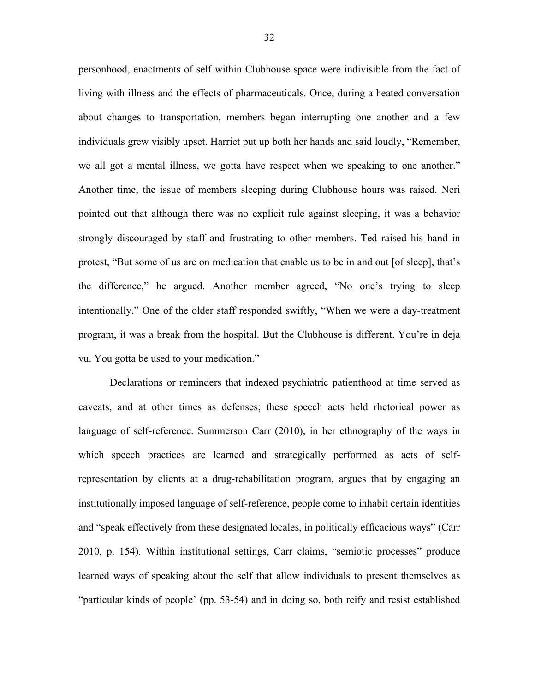personhood, enactments of self within Clubhouse space were indivisible from the fact of living with illness and the effects of pharmaceuticals. Once, during a heated conversation about changes to transportation, members began interrupting one another and a few individuals grew visibly upset. Harriet put up both her hands and said loudly, "Remember, we all got a mental illness, we gotta have respect when we speaking to one another." Another time, the issue of members sleeping during Clubhouse hours was raised. Neri pointed out that although there was no explicit rule against sleeping, it was a behavior strongly discouraged by staff and frustrating to other members. Ted raised his hand in protest, "But some of us are on medication that enable us to be in and out [of sleep], that's the difference," he argued. Another member agreed, "No one's trying to sleep intentionally." One of the older staff responded swiftly, "When we were a day-treatment program, it was a break from the hospital. But the Clubhouse is different. You're in deja vu. You gotta be used to your medication."

Declarations or reminders that indexed psychiatric patienthood at time served as caveats, and at other times as defenses; these speech acts held rhetorical power as language of self-reference. Summerson Carr (2010), in her ethnography of the ways in which speech practices are learned and strategically performed as acts of selfrepresentation by clients at a drug-rehabilitation program, argues that by engaging an institutionally imposed language of self-reference, people come to inhabit certain identities and "speak effectively from these designated locales, in politically efficacious ways" (Carr 2010, p. 154). Within institutional settings, Carr claims, "semiotic processes" produce learned ways of speaking about the self that allow individuals to present themselves as "particular kinds of people' (pp. 53-54) and in doing so, both reify and resist established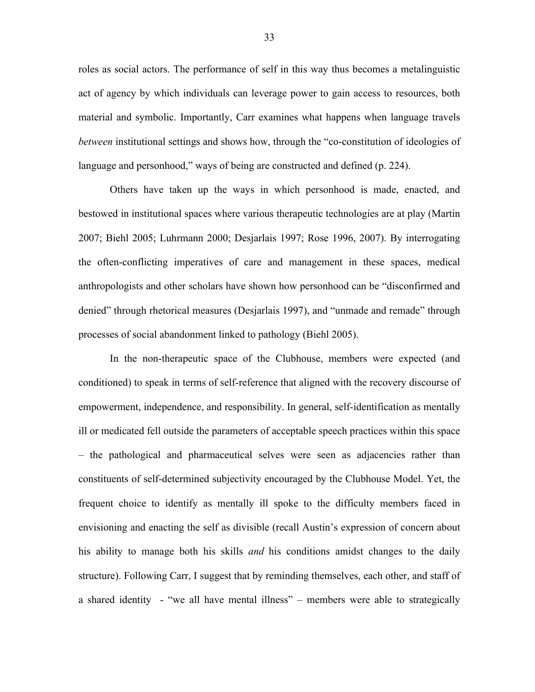roles as social actors. The performance of self in this way thus becomes a metalinguistic act of agency by which individuals can leverage power to gain access to resources, both material and symbolic. Importantly, Carr examines what happens when language travels *between* institutional settings and shows how, through the "co-constitution of ideologies of language and personhood," ways of being are constructed and defined (p. 224).

Others have taken up the ways in which personhood is made, enacted, and bestowed in institutional spaces where various therapeutic technologies are at play (Martin 2007; Biehl 2005; Luhrmann 2000; Desjarlais 1997; Rose 1996, 2007). By interrogating the often-conflicting imperatives of care and management in these spaces, medical anthropologists and other scholars have shown how personhood can be "disconfirmed and denied" through rhetorical measures (Desjarlais 1997), and "unmade and remade" through processes of social abandonment linked to pathology (Biehl 2005).

In the non-therapeutic space of the Clubhouse, members were expected (and conditioned) to speak in terms of self-reference that aligned with the recovery discourse of empowerment, independence, and responsibility. In general, self-identification as mentally ill or medicated fell outside the parameters of acceptable speech practices within this space – the pathological and pharmaceutical selves were seen as adjacencies rather than constituents of self-determined subjectivity encouraged by the Clubhouse Model. Yet, the frequent choice to identify as mentally ill spoke to the difficulty members faced in envisioning and enacting the self as divisible (recall Austin's expression of concern about his ability to manage both his skills *and* his conditions amidst changes to the daily structure). Following Carr, I suggest that by reminding themselves, each other, and staff of a shared identity - "we all have mental illness" – members were able to strategically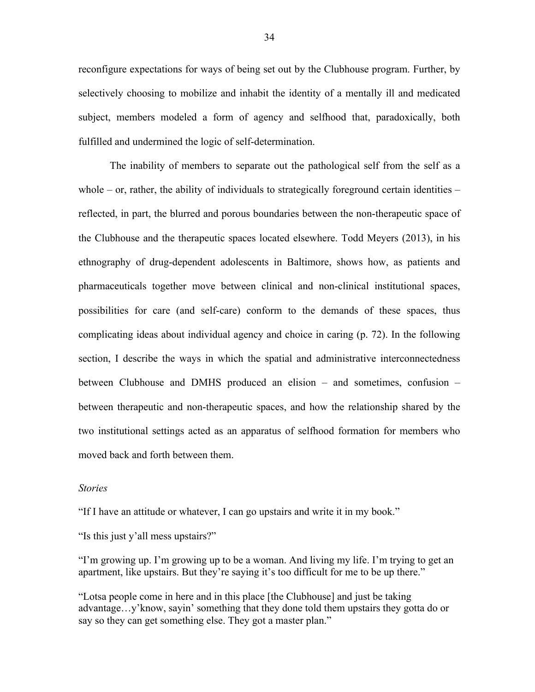reconfigure expectations for ways of being set out by the Clubhouse program. Further, by selectively choosing to mobilize and inhabit the identity of a mentally ill and medicated subject, members modeled a form of agency and selfhood that, paradoxically, both fulfilled and undermined the logic of self-determination.

The inability of members to separate out the pathological self from the self as a whole – or, rather, the ability of individuals to strategically foreground certain identities – reflected, in part, the blurred and porous boundaries between the non-therapeutic space of the Clubhouse and the therapeutic spaces located elsewhere. Todd Meyers (2013), in his ethnography of drug-dependent adolescents in Baltimore, shows how, as patients and pharmaceuticals together move between clinical and non-clinical institutional spaces, possibilities for care (and self-care) conform to the demands of these spaces, thus complicating ideas about individual agency and choice in caring (p. 72). In the following section, I describe the ways in which the spatial and administrative interconnectedness between Clubhouse and DMHS produced an elision – and sometimes, confusion – between therapeutic and non-therapeutic spaces, and how the relationship shared by the two institutional settings acted as an apparatus of selfhood formation for members who moved back and forth between them.

#### *Stories*

"If I have an attitude or whatever, I can go upstairs and write it in my book."

"Is this just y'all mess upstairs?"

"I'm growing up. I'm growing up to be a woman. And living my life. I'm trying to get an apartment, like upstairs. But they're saying it's too difficult for me to be up there."

"Lotsa people come in here and in this place [the Clubhouse] and just be taking advantage…y'know, sayin' something that they done told them upstairs they gotta do or say so they can get something else. They got a master plan."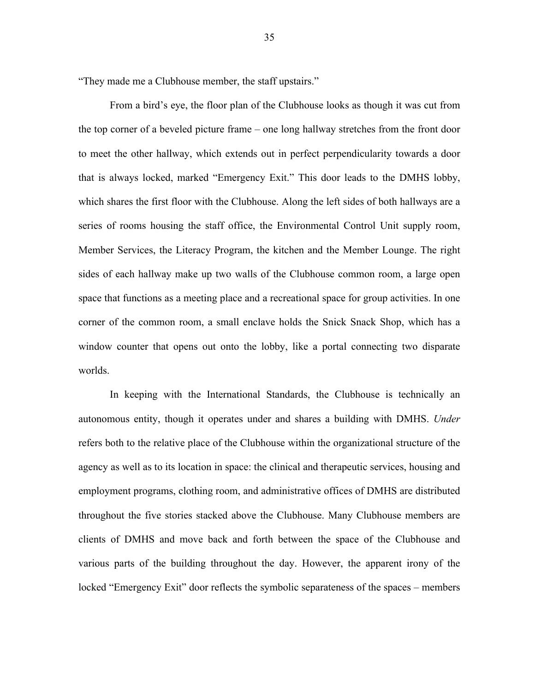"They made me a Clubhouse member, the staff upstairs."

From a bird's eye, the floor plan of the Clubhouse looks as though it was cut from the top corner of a beveled picture frame – one long hallway stretches from the front door to meet the other hallway, which extends out in perfect perpendicularity towards a door that is always locked, marked "Emergency Exit." This door leads to the DMHS lobby, which shares the first floor with the Clubhouse. Along the left sides of both hallways are a series of rooms housing the staff office, the Environmental Control Unit supply room, Member Services, the Literacy Program, the kitchen and the Member Lounge. The right sides of each hallway make up two walls of the Clubhouse common room, a large open space that functions as a meeting place and a recreational space for group activities. In one corner of the common room, a small enclave holds the Snick Snack Shop, which has a window counter that opens out onto the lobby, like a portal connecting two disparate worlds.

In keeping with the International Standards, the Clubhouse is technically an autonomous entity, though it operates under and shares a building with DMHS. *Under*  refers both to the relative place of the Clubhouse within the organizational structure of the agency as well as to its location in space: the clinical and therapeutic services, housing and employment programs, clothing room, and administrative offices of DMHS are distributed throughout the five stories stacked above the Clubhouse. Many Clubhouse members are clients of DMHS and move back and forth between the space of the Clubhouse and various parts of the building throughout the day. However, the apparent irony of the locked "Emergency Exit" door reflects the symbolic separateness of the spaces – members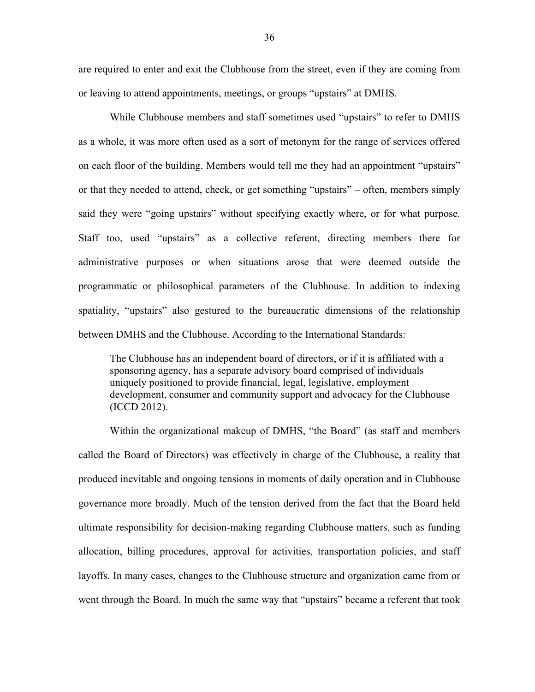are required to enter and exit the Clubhouse from the street, even if they are coming from or leaving to attend appointments, meetings, or groups "upstairs" at DMHS.

While Clubhouse members and staff sometimes used "upstairs" to refer to DMHS as a whole, it was more often used as a sort of metonym for the range of services offered on each floor of the building. Members would tell me they had an appointment "upstairs" or that they needed to attend, check, or get something "upstairs" – often, members simply said they were "going upstairs" without specifying exactly where, or for what purpose. Staff too, used "upstairs" as a collective referent, directing members there for administrative purposes or when situations arose that were deemed outside the programmatic or philosophical parameters of the Clubhouse. In addition to indexing spatiality, "upstairs" also gestured to the bureaucratic dimensions of the relationship between DMHS and the Clubhouse. According to the International Standards:

The Clubhouse has an independent board of directors, or if it is affiliated with a sponsoring agency, has a separate advisory board comprised of individuals uniquely positioned to provide financial, legal, legislative, employment development, consumer and community support and advocacy for the Clubhouse (ICCD 2012).

Within the organizational makeup of DMHS, "the Board" (as staff and members called the Board of Directors) was effectively in charge of the Clubhouse, a reality that produced inevitable and ongoing tensions in moments of daily operation and in Clubhouse governance more broadly. Much of the tension derived from the fact that the Board held ultimate responsibility for decision-making regarding Clubhouse matters, such as funding allocation, billing procedures, approval for activities, transportation policies, and staff layoffs. In many cases, changes to the Clubhouse structure and organization came from or went through the Board. In much the same way that "upstairs" became a referent that took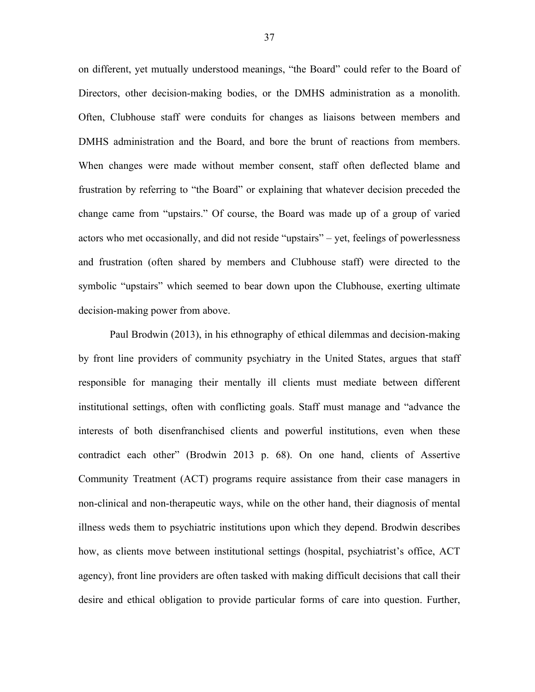on different, yet mutually understood meanings, "the Board" could refer to the Board of Directors, other decision-making bodies, or the DMHS administration as a monolith. Often, Clubhouse staff were conduits for changes as liaisons between members and DMHS administration and the Board, and bore the brunt of reactions from members. When changes were made without member consent, staff often deflected blame and frustration by referring to "the Board" or explaining that whatever decision preceded the change came from "upstairs." Of course, the Board was made up of a group of varied actors who met occasionally, and did not reside "upstairs" – yet, feelings of powerlessness and frustration (often shared by members and Clubhouse staff) were directed to the symbolic "upstairs" which seemed to bear down upon the Clubhouse, exerting ultimate decision-making power from above.

Paul Brodwin (2013), in his ethnography of ethical dilemmas and decision-making by front line providers of community psychiatry in the United States, argues that staff responsible for managing their mentally ill clients must mediate between different institutional settings, often with conflicting goals. Staff must manage and "advance the interests of both disenfranchised clients and powerful institutions, even when these contradict each other" (Brodwin 2013 p. 68). On one hand, clients of Assertive Community Treatment (ACT) programs require assistance from their case managers in non-clinical and non-therapeutic ways, while on the other hand, their diagnosis of mental illness weds them to psychiatric institutions upon which they depend. Brodwin describes how, as clients move between institutional settings (hospital, psychiatrist's office, ACT agency), front line providers are often tasked with making difficult decisions that call their desire and ethical obligation to provide particular forms of care into question. Further,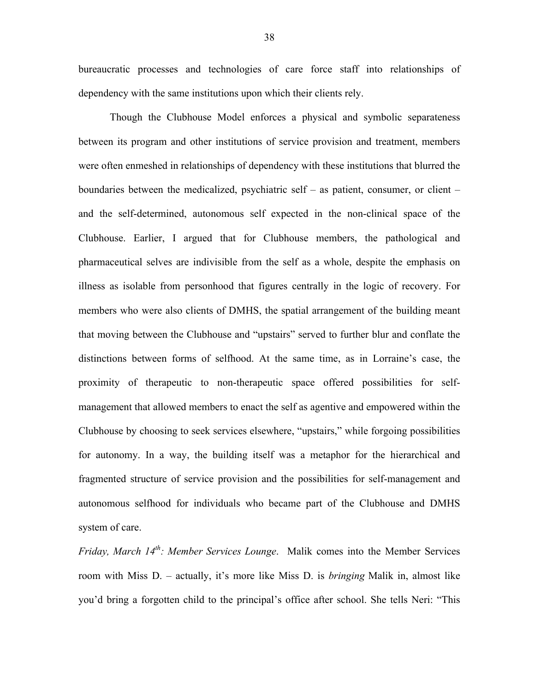bureaucratic processes and technologies of care force staff into relationships of dependency with the same institutions upon which their clients rely.

Though the Clubhouse Model enforces a physical and symbolic separateness between its program and other institutions of service provision and treatment, members were often enmeshed in relationships of dependency with these institutions that blurred the boundaries between the medicalized, psychiatric self – as patient, consumer, or client – and the self-determined, autonomous self expected in the non-clinical space of the Clubhouse. Earlier, I argued that for Clubhouse members, the pathological and pharmaceutical selves are indivisible from the self as a whole, despite the emphasis on illness as isolable from personhood that figures centrally in the logic of recovery. For members who were also clients of DMHS, the spatial arrangement of the building meant that moving between the Clubhouse and "upstairs" served to further blur and conflate the distinctions between forms of selfhood. At the same time, as in Lorraine's case, the proximity of therapeutic to non-therapeutic space offered possibilities for selfmanagement that allowed members to enact the self as agentive and empowered within the Clubhouse by choosing to seek services elsewhere, "upstairs," while forgoing possibilities for autonomy. In a way, the building itself was a metaphor for the hierarchical and fragmented structure of service provision and the possibilities for self-management and autonomous selfhood for individuals who became part of the Clubhouse and DMHS system of care.

*Friday, March 14th: Member Services Lounge*. Malik comes into the Member Services room with Miss D. – actually, it's more like Miss D. is *bringing* Malik in, almost like you'd bring a forgotten child to the principal's office after school. She tells Neri: "This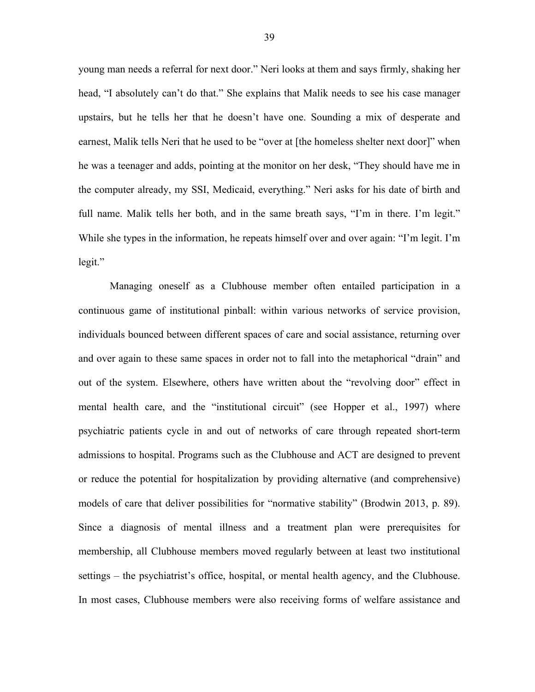young man needs a referral for next door." Neri looks at them and says firmly, shaking her head, "I absolutely can't do that." She explains that Malik needs to see his case manager upstairs, but he tells her that he doesn't have one. Sounding a mix of desperate and earnest, Malik tells Neri that he used to be "over at [the homeless shelter next door]" when he was a teenager and adds, pointing at the monitor on her desk, "They should have me in the computer already, my SSI, Medicaid, everything." Neri asks for his date of birth and full name. Malik tells her both, and in the same breath says, "I'm in there. I'm legit." While she types in the information, he repeats himself over and over again: "I'm legit. I'm legit."

Managing oneself as a Clubhouse member often entailed participation in a continuous game of institutional pinball: within various networks of service provision, individuals bounced between different spaces of care and social assistance, returning over and over again to these same spaces in order not to fall into the metaphorical "drain" and out of the system. Elsewhere, others have written about the "revolving door" effect in mental health care, and the "institutional circuit" (see Hopper et al., 1997) where psychiatric patients cycle in and out of networks of care through repeated short-term admissions to hospital. Programs such as the Clubhouse and ACT are designed to prevent or reduce the potential for hospitalization by providing alternative (and comprehensive) models of care that deliver possibilities for "normative stability" (Brodwin 2013, p. 89). Since a diagnosis of mental illness and a treatment plan were prerequisites for membership, all Clubhouse members moved regularly between at least two institutional settings – the psychiatrist's office, hospital, or mental health agency, and the Clubhouse. In most cases, Clubhouse members were also receiving forms of welfare assistance and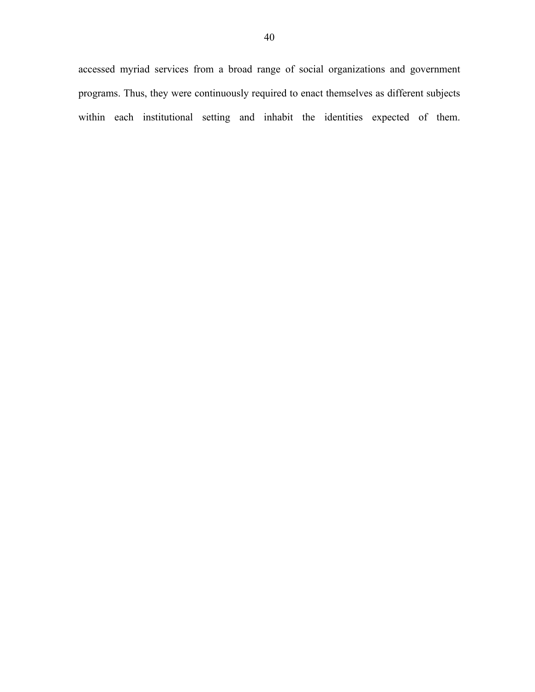accessed myriad services from a broad range of social organizations and government programs. Thus, they were continuously required to enact themselves as different subjects within each institutional setting and inhabit the identities expected of them.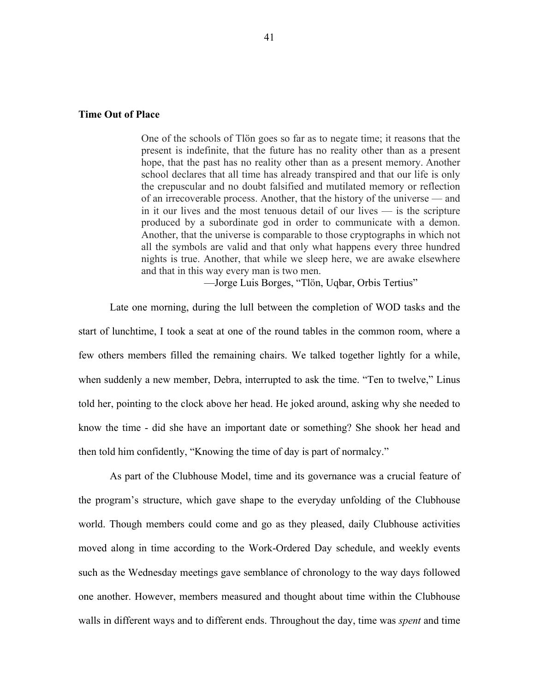#### **Time Out of Place**

One of the schools of Tlön goes so far as to negate time; it reasons that the present is indefinite, that the future has no reality other than as a present hope, that the past has no reality other than as a present memory. Another school declares that all time has already transpired and that our life is only the crepuscular and no doubt falsified and mutilated memory or reflection of an irrecoverable process. Another, that the history of the universe — and in it our lives and the most tenuous detail of our lives — is the scripture produced by a subordinate god in order to communicate with a demon. Another, that the universe is comparable to those cryptographs in which not all the symbols are valid and that only what happens every three hundred nights is true. Another, that while we sleep here, we are awake elsewhere and that in this way every man is two men.

––Jorge Luis Borges, "Tlön, Uqbar, Orbis Tertius"

Late one morning, during the lull between the completion of WOD tasks and the start of lunchtime, I took a seat at one of the round tables in the common room, where a few others members filled the remaining chairs. We talked together lightly for a while, when suddenly a new member, Debra, interrupted to ask the time. "Ten to twelve," Linus told her, pointing to the clock above her head. He joked around, asking why she needed to know the time - did she have an important date or something? She shook her head and then told him confidently, "Knowing the time of day is part of normalcy."

As part of the Clubhouse Model, time and its governance was a crucial feature of the program's structure, which gave shape to the everyday unfolding of the Clubhouse world. Though members could come and go as they pleased, daily Clubhouse activities moved along in time according to the Work-Ordered Day schedule, and weekly events such as the Wednesday meetings gave semblance of chronology to the way days followed one another. However, members measured and thought about time within the Clubhouse walls in different ways and to different ends. Throughout the day, time was *spent* and time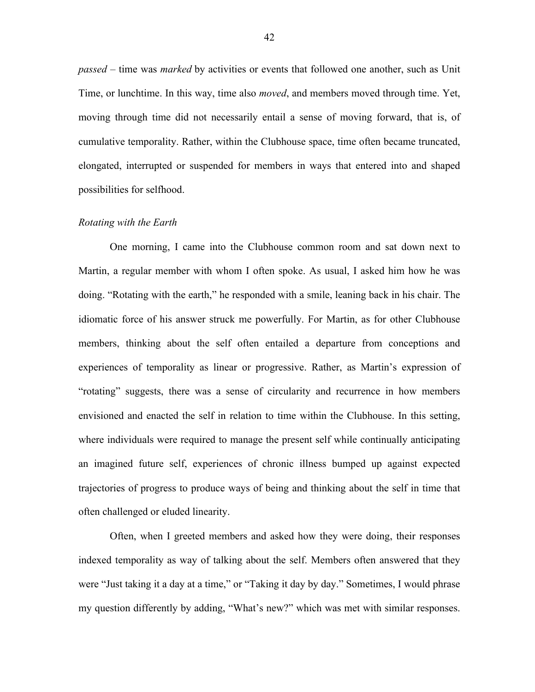*passed* – time was *marked* by activities or events that followed one another, such as Unit Time, or lunchtime. In this way, time also *moved*, and members moved through time. Yet, moving through time did not necessarily entail a sense of moving forward, that is, of cumulative temporality. Rather, within the Clubhouse space, time often became truncated, elongated, interrupted or suspended for members in ways that entered into and shaped possibilities for selfhood.

#### *Rotating with the Earth*

One morning, I came into the Clubhouse common room and sat down next to Martin, a regular member with whom I often spoke. As usual, I asked him how he was doing. "Rotating with the earth," he responded with a smile, leaning back in his chair. The idiomatic force of his answer struck me powerfully. For Martin, as for other Clubhouse members, thinking about the self often entailed a departure from conceptions and experiences of temporality as linear or progressive. Rather, as Martin's expression of "rotating" suggests, there was a sense of circularity and recurrence in how members envisioned and enacted the self in relation to time within the Clubhouse. In this setting, where individuals were required to manage the present self while continually anticipating an imagined future self, experiences of chronic illness bumped up against expected trajectories of progress to produce ways of being and thinking about the self in time that often challenged or eluded linearity.

Often, when I greeted members and asked how they were doing, their responses indexed temporality as way of talking about the self. Members often answered that they were "Just taking it a day at a time," or "Taking it day by day." Sometimes, I would phrase my question differently by adding, "What's new?" which was met with similar responses.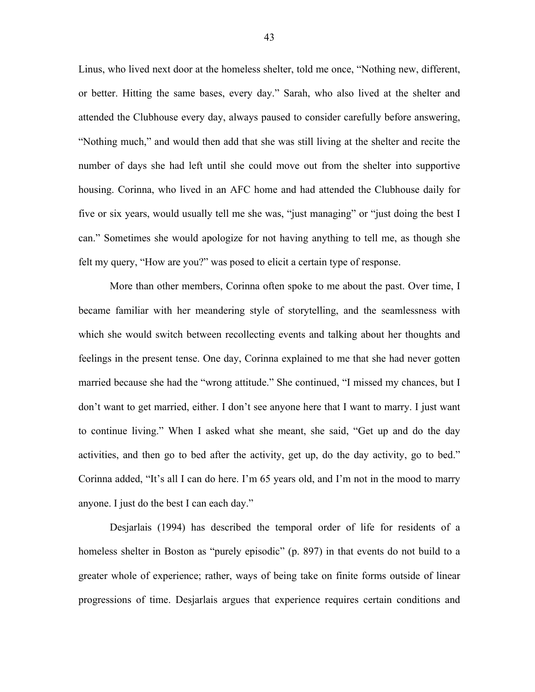Linus, who lived next door at the homeless shelter, told me once, "Nothing new, different, or better. Hitting the same bases, every day." Sarah, who also lived at the shelter and attended the Clubhouse every day, always paused to consider carefully before answering, "Nothing much," and would then add that she was still living at the shelter and recite the number of days she had left until she could move out from the shelter into supportive housing. Corinna, who lived in an AFC home and had attended the Clubhouse daily for five or six years, would usually tell me she was, "just managing" or "just doing the best I can." Sometimes she would apologize for not having anything to tell me, as though she felt my query, "How are you?" was posed to elicit a certain type of response.

More than other members, Corinna often spoke to me about the past. Over time, I became familiar with her meandering style of storytelling, and the seamlessness with which she would switch between recollecting events and talking about her thoughts and feelings in the present tense. One day, Corinna explained to me that she had never gotten married because she had the "wrong attitude." She continued, "I missed my chances, but I don't want to get married, either. I don't see anyone here that I want to marry. I just want to continue living." When I asked what she meant, she said, "Get up and do the day activities, and then go to bed after the activity, get up, do the day activity, go to bed." Corinna added, "It's all I can do here. I'm 65 years old, and I'm not in the mood to marry anyone. I just do the best I can each day."

Desjarlais (1994) has described the temporal order of life for residents of a homeless shelter in Boston as "purely episodic" (p. 897) in that events do not build to a greater whole of experience; rather, ways of being take on finite forms outside of linear progressions of time. Desjarlais argues that experience requires certain conditions and

43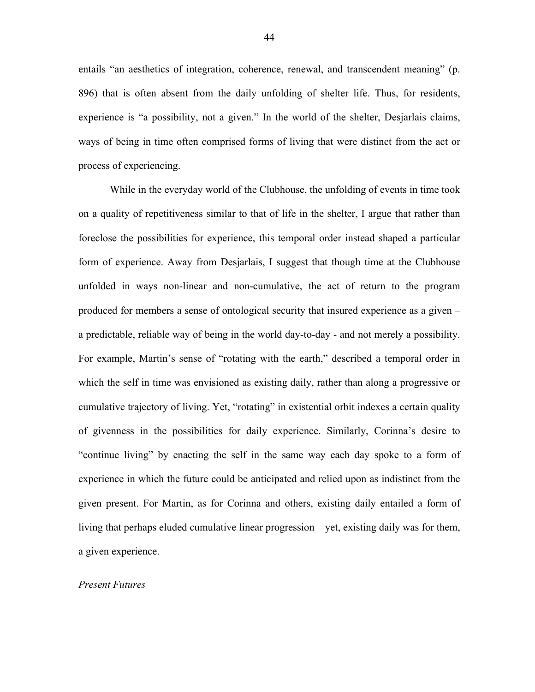entails "an aesthetics of integration, coherence, renewal, and transcendent meaning" (p. 896) that is often absent from the daily unfolding of shelter life. Thus, for residents, experience is "a possibility, not a given." In the world of the shelter, Desjarlais claims, ways of being in time often comprised forms of living that were distinct from the act or process of experiencing.

While in the everyday world of the Clubhouse, the unfolding of events in time took on a quality of repetitiveness similar to that of life in the shelter, I argue that rather than foreclose the possibilities for experience, this temporal order instead shaped a particular form of experience. Away from Desjarlais, I suggest that though time at the Clubhouse unfolded in ways non-linear and non-cumulative, the act of return to the program produced for members a sense of ontological security that insured experience as a given – a predictable, reliable way of being in the world day-to-day - and not merely a possibility. For example, Martin's sense of "rotating with the earth," described a temporal order in which the self in time was envisioned as existing daily, rather than along a progressive or cumulative trajectory of living. Yet, "rotating" in existential orbit indexes a certain quality of givenness in the possibilities for daily experience. Similarly, Corinna's desire to "continue living" by enacting the self in the same way each day spoke to a form of experience in which the future could be anticipated and relied upon as indistinct from the given present. For Martin, as for Corinna and others, existing daily entailed a form of living that perhaps eluded cumulative linear progression – yet, existing daily was for them, a given experience.

#### *Present Futures*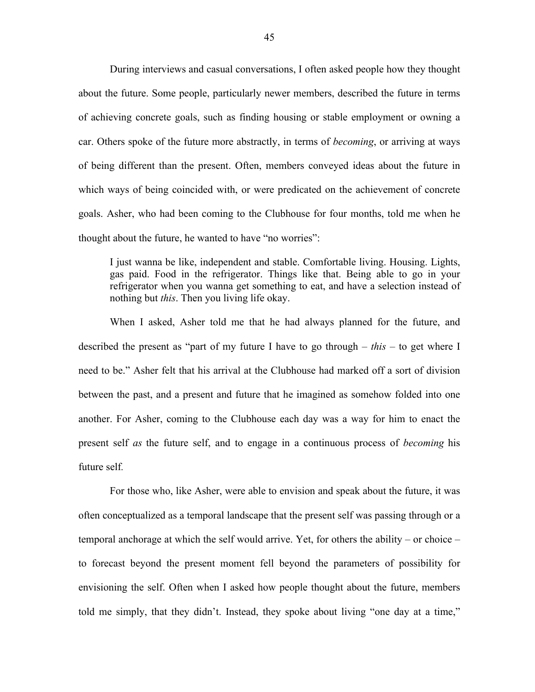During interviews and casual conversations, I often asked people how they thought about the future. Some people, particularly newer members, described the future in terms of achieving concrete goals, such as finding housing or stable employment or owning a car. Others spoke of the future more abstractly, in terms of *becoming*, or arriving at ways of being different than the present. Often, members conveyed ideas about the future in which ways of being coincided with, or were predicated on the achievement of concrete goals. Asher, who had been coming to the Clubhouse for four months, told me when he thought about the future, he wanted to have "no worries":

I just wanna be like, independent and stable. Comfortable living. Housing. Lights, gas paid. Food in the refrigerator. Things like that. Being able to go in your refrigerator when you wanna get something to eat, and have a selection instead of nothing but *this*. Then you living life okay.

When I asked, Asher told me that he had always planned for the future, and described the present as "part of my future I have to go through – *this* – to get where I need to be." Asher felt that his arrival at the Clubhouse had marked off a sort of division between the past, and a present and future that he imagined as somehow folded into one another. For Asher, coming to the Clubhouse each day was a way for him to enact the present self *as* the future self, and to engage in a continuous process of *becoming* his future self*.*

For those who, like Asher, were able to envision and speak about the future, it was often conceptualized as a temporal landscape that the present self was passing through or a temporal anchorage at which the self would arrive. Yet, for others the ability – or choice – to forecast beyond the present moment fell beyond the parameters of possibility for envisioning the self. Often when I asked how people thought about the future, members told me simply, that they didn't. Instead, they spoke about living "one day at a time,"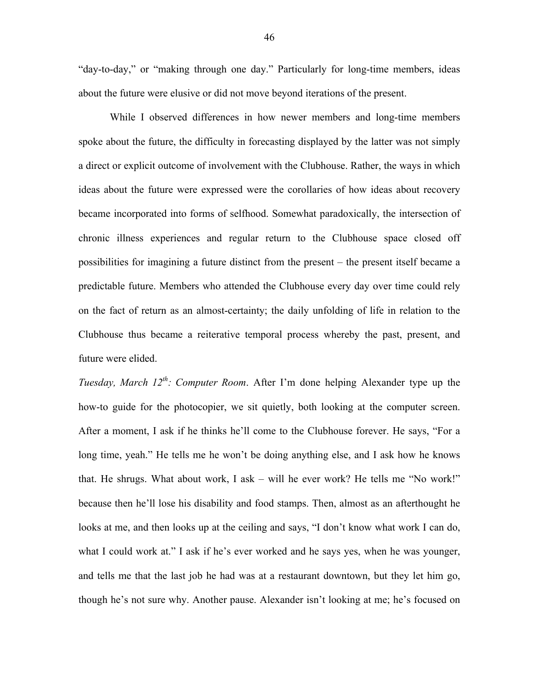"day-to-day," or "making through one day." Particularly for long-time members, ideas about the future were elusive or did not move beyond iterations of the present.

While I observed differences in how newer members and long-time members spoke about the future, the difficulty in forecasting displayed by the latter was not simply a direct or explicit outcome of involvement with the Clubhouse. Rather, the ways in which ideas about the future were expressed were the corollaries of how ideas about recovery became incorporated into forms of selfhood. Somewhat paradoxically, the intersection of chronic illness experiences and regular return to the Clubhouse space closed off possibilities for imagining a future distinct from the present – the present itself became a predictable future. Members who attended the Clubhouse every day over time could rely on the fact of return as an almost-certainty; the daily unfolding of life in relation to the Clubhouse thus became a reiterative temporal process whereby the past, present, and future were elided.

*Tuesday, March 12th: Computer Room*. After I'm done helping Alexander type up the how-to guide for the photocopier, we sit quietly, both looking at the computer screen. After a moment, I ask if he thinks he'll come to the Clubhouse forever. He says, "For a long time, yeah." He tells me he won't be doing anything else, and I ask how he knows that. He shrugs. What about work, I ask – will he ever work? He tells me "No work!" because then he'll lose his disability and food stamps. Then, almost as an afterthought he looks at me, and then looks up at the ceiling and says, "I don't know what work I can do, what I could work at." I ask if he's ever worked and he says yes, when he was younger, and tells me that the last job he had was at a restaurant downtown, but they let him go, though he's not sure why. Another pause. Alexander isn't looking at me; he's focused on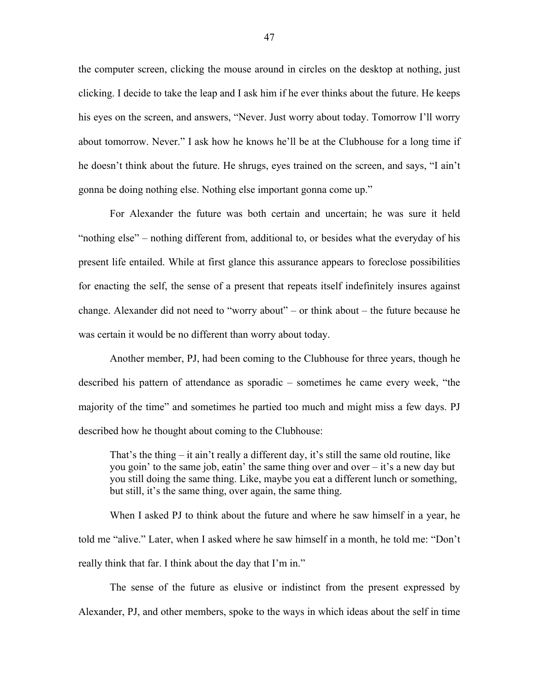the computer screen, clicking the mouse around in circles on the desktop at nothing, just clicking. I decide to take the leap and I ask him if he ever thinks about the future. He keeps his eyes on the screen, and answers, "Never. Just worry about today. Tomorrow I'll worry about tomorrow. Never." I ask how he knows he'll be at the Clubhouse for a long time if he doesn't think about the future. He shrugs, eyes trained on the screen, and says, "I ain't gonna be doing nothing else. Nothing else important gonna come up."

For Alexander the future was both certain and uncertain; he was sure it held "nothing else" – nothing different from, additional to, or besides what the everyday of his present life entailed. While at first glance this assurance appears to foreclose possibilities for enacting the self, the sense of a present that repeats itself indefinitely insures against change. Alexander did not need to "worry about" – or think about – the future because he was certain it would be no different than worry about today.

Another member, PJ, had been coming to the Clubhouse for three years, though he described his pattern of attendance as sporadic – sometimes he came every week, "the majority of the time" and sometimes he partied too much and might miss a few days. PJ described how he thought about coming to the Clubhouse:

That's the thing – it ain't really a different day, it's still the same old routine, like you goin' to the same job, eatin' the same thing over and over – it's a new day but you still doing the same thing. Like, maybe you eat a different lunch or something, but still, it's the same thing, over again, the same thing.

When I asked PJ to think about the future and where he saw himself in a year, he told me "alive." Later, when I asked where he saw himself in a month, he told me: "Don't really think that far. I think about the day that I'm in."

The sense of the future as elusive or indistinct from the present expressed by Alexander, PJ, and other members, spoke to the ways in which ideas about the self in time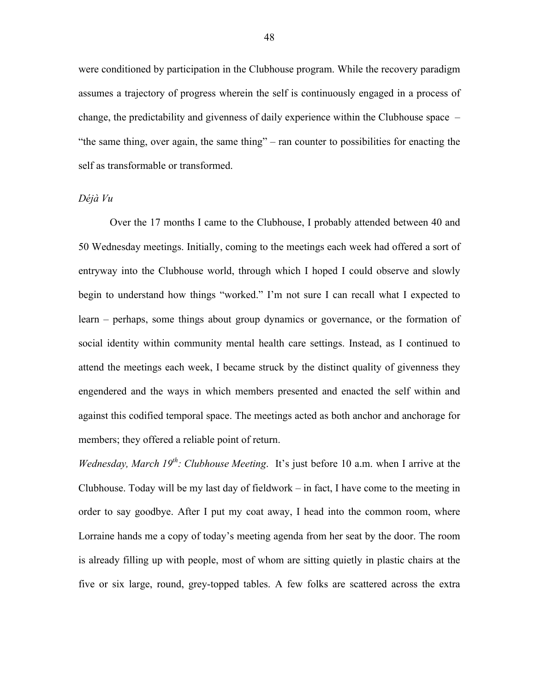were conditioned by participation in the Clubhouse program. While the recovery paradigm assumes a trajectory of progress wherein the self is continuously engaged in a process of change, the predictability and givenness of daily experience within the Clubhouse space – "the same thing, over again, the same thing" – ran counter to possibilities for enacting the self as transformable or transformed.

#### *Déjà Vu*

Over the 17 months I came to the Clubhouse, I probably attended between 40 and 50 Wednesday meetings. Initially, coming to the meetings each week had offered a sort of entryway into the Clubhouse world, through which I hoped I could observe and slowly begin to understand how things "worked." I'm not sure I can recall what I expected to learn – perhaps, some things about group dynamics or governance, or the formation of social identity within community mental health care settings. Instead, as I continued to attend the meetings each week, I became struck by the distinct quality of givenness they engendered and the ways in which members presented and enacted the self within and against this codified temporal space. The meetings acted as both anchor and anchorage for members; they offered a reliable point of return.

*Wednesday, March 19th: Clubhouse Meeting*. It's just before 10 a.m. when I arrive at the Clubhouse. Today will be my last day of fieldwork – in fact, I have come to the meeting in order to say goodbye. After I put my coat away, I head into the common room, where Lorraine hands me a copy of today's meeting agenda from her seat by the door. The room is already filling up with people, most of whom are sitting quietly in plastic chairs at the five or six large, round, grey-topped tables. A few folks are scattered across the extra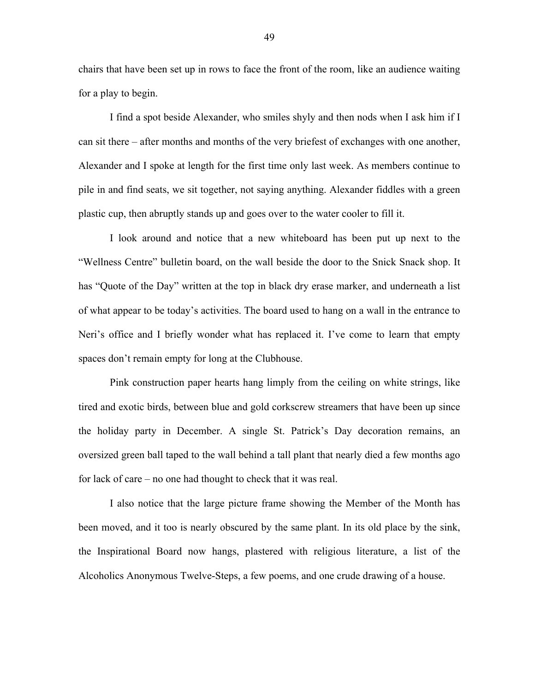chairs that have been set up in rows to face the front of the room, like an audience waiting for a play to begin.

I find a spot beside Alexander, who smiles shyly and then nods when I ask him if I can sit there – after months and months of the very briefest of exchanges with one another, Alexander and I spoke at length for the first time only last week. As members continue to pile in and find seats, we sit together, not saying anything. Alexander fiddles with a green plastic cup, then abruptly stands up and goes over to the water cooler to fill it.

I look around and notice that a new whiteboard has been put up next to the "Wellness Centre" bulletin board, on the wall beside the door to the Snick Snack shop. It has "Quote of the Day" written at the top in black dry erase marker, and underneath a list of what appear to be today's activities. The board used to hang on a wall in the entrance to Neri's office and I briefly wonder what has replaced it. I've come to learn that empty spaces don't remain empty for long at the Clubhouse.

Pink construction paper hearts hang limply from the ceiling on white strings, like tired and exotic birds, between blue and gold corkscrew streamers that have been up since the holiday party in December. A single St. Patrick's Day decoration remains, an oversized green ball taped to the wall behind a tall plant that nearly died a few months ago for lack of care – no one had thought to check that it was real.

I also notice that the large picture frame showing the Member of the Month has been moved, and it too is nearly obscured by the same plant. In its old place by the sink, the Inspirational Board now hangs, plastered with religious literature, a list of the Alcoholics Anonymous Twelve-Steps, a few poems, and one crude drawing of a house.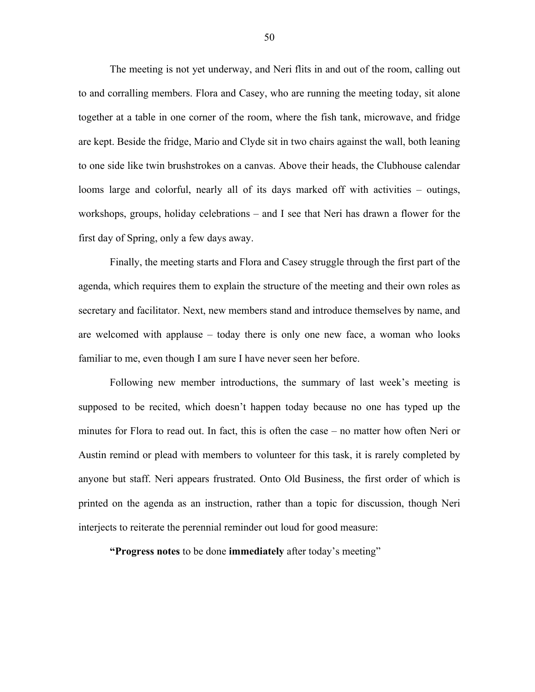The meeting is not yet underway, and Neri flits in and out of the room, calling out to and corralling members. Flora and Casey, who are running the meeting today, sit alone together at a table in one corner of the room, where the fish tank, microwave, and fridge are kept. Beside the fridge, Mario and Clyde sit in two chairs against the wall, both leaning to one side like twin brushstrokes on a canvas. Above their heads, the Clubhouse calendar looms large and colorful, nearly all of its days marked off with activities – outings, workshops, groups, holiday celebrations – and I see that Neri has drawn a flower for the first day of Spring, only a few days away.

Finally, the meeting starts and Flora and Casey struggle through the first part of the agenda, which requires them to explain the structure of the meeting and their own roles as secretary and facilitator. Next, new members stand and introduce themselves by name, and are welcomed with applause – today there is only one new face, a woman who looks familiar to me, even though I am sure I have never seen her before.

Following new member introductions, the summary of last week's meeting is supposed to be recited, which doesn't happen today because no one has typed up the minutes for Flora to read out. In fact, this is often the case – no matter how often Neri or Austin remind or plead with members to volunteer for this task, it is rarely completed by anyone but staff. Neri appears frustrated. Onto Old Business, the first order of which is printed on the agenda as an instruction, rather than a topic for discussion, though Neri interjects to reiterate the perennial reminder out loud for good measure:

**"Progress notes** to be done **immediately** after today's meeting"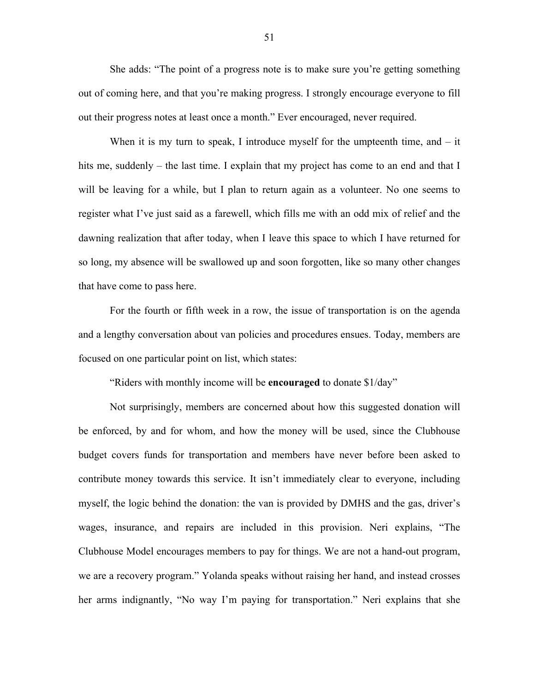She adds: "The point of a progress note is to make sure you're getting something out of coming here, and that you're making progress. I strongly encourage everyone to fill out their progress notes at least once a month." Ever encouraged, never required.

When it is my turn to speak, I introduce myself for the umpteenth time, and  $-$  it hits me, suddenly – the last time. I explain that my project has come to an end and that I will be leaving for a while, but I plan to return again as a volunteer. No one seems to register what I've just said as a farewell, which fills me with an odd mix of relief and the dawning realization that after today, when I leave this space to which I have returned for so long, my absence will be swallowed up and soon forgotten, like so many other changes that have come to pass here.

For the fourth or fifth week in a row, the issue of transportation is on the agenda and a lengthy conversation about van policies and procedures ensues. Today, members are focused on one particular point on list, which states:

"Riders with monthly income will be **encouraged** to donate \$1/day"

Not surprisingly, members are concerned about how this suggested donation will be enforced, by and for whom, and how the money will be used, since the Clubhouse budget covers funds for transportation and members have never before been asked to contribute money towards this service. It isn't immediately clear to everyone, including myself, the logic behind the donation: the van is provided by DMHS and the gas, driver's wages, insurance, and repairs are included in this provision. Neri explains, "The Clubhouse Model encourages members to pay for things. We are not a hand-out program, we are a recovery program." Yolanda speaks without raising her hand, and instead crosses her arms indignantly, "No way I'm paying for transportation." Neri explains that she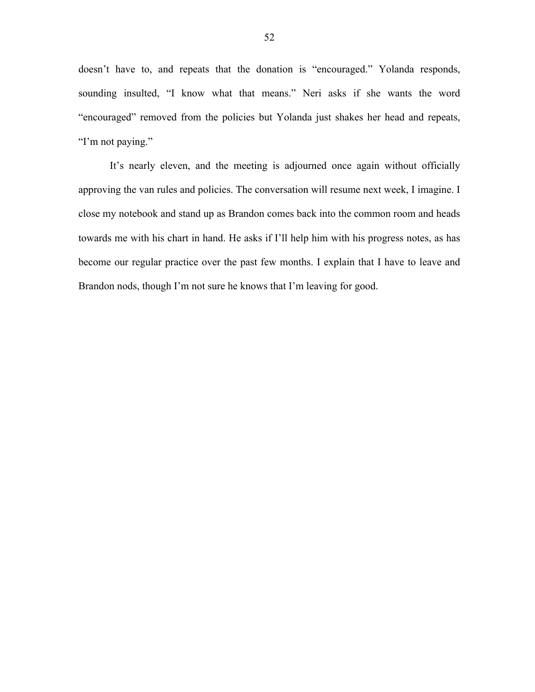doesn't have to, and repeats that the donation is "encouraged." Yolanda responds, sounding insulted, "I know what that means." Neri asks if she wants the word "encouraged" removed from the policies but Yolanda just shakes her head and repeats, "I'm not paying."

It's nearly eleven, and the meeting is adjourned once again without officially approving the van rules and policies. The conversation will resume next week, I imagine. I close my notebook and stand up as Brandon comes back into the common room and heads towards me with his chart in hand. He asks if I'll help him with his progress notes, as has become our regular practice over the past few months. I explain that I have to leave and Brandon nods, though I'm not sure he knows that I'm leaving for good.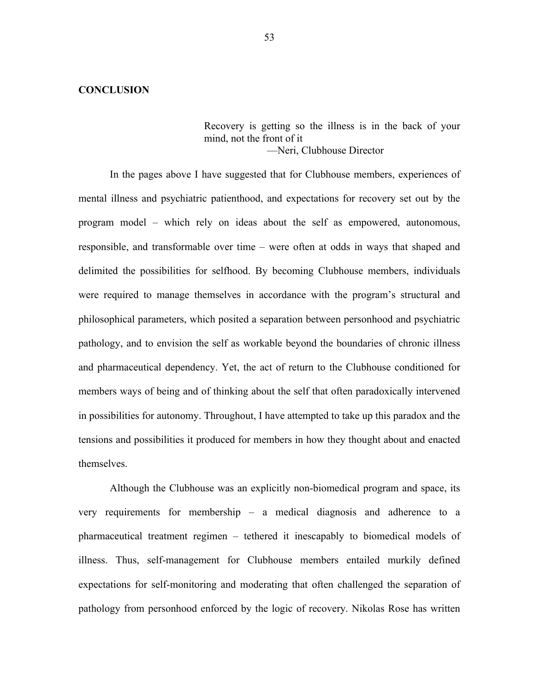#### **CONCLUSION**

Recovery is getting so the illness is in the back of your mind, not the front of it ––Neri, Clubhouse Director

In the pages above I have suggested that for Clubhouse members, experiences of mental illness and psychiatric patienthood, and expectations for recovery set out by the program model – which rely on ideas about the self as empowered, autonomous, responsible, and transformable over time – were often at odds in ways that shaped and delimited the possibilities for selfhood. By becoming Clubhouse members, individuals were required to manage themselves in accordance with the program's structural and philosophical parameters, which posited a separation between personhood and psychiatric pathology, and to envision the self as workable beyond the boundaries of chronic illness and pharmaceutical dependency. Yet, the act of return to the Clubhouse conditioned for members ways of being and of thinking about the self that often paradoxically intervened in possibilities for autonomy. Throughout, I have attempted to take up this paradox and the tensions and possibilities it produced for members in how they thought about and enacted themselves.

Although the Clubhouse was an explicitly non-biomedical program and space, its very requirements for membership – a medical diagnosis and adherence to a pharmaceutical treatment regimen – tethered it inescapably to biomedical models of illness. Thus, self-management for Clubhouse members entailed murkily defined expectations for self-monitoring and moderating that often challenged the separation of pathology from personhood enforced by the logic of recovery. Nikolas Rose has written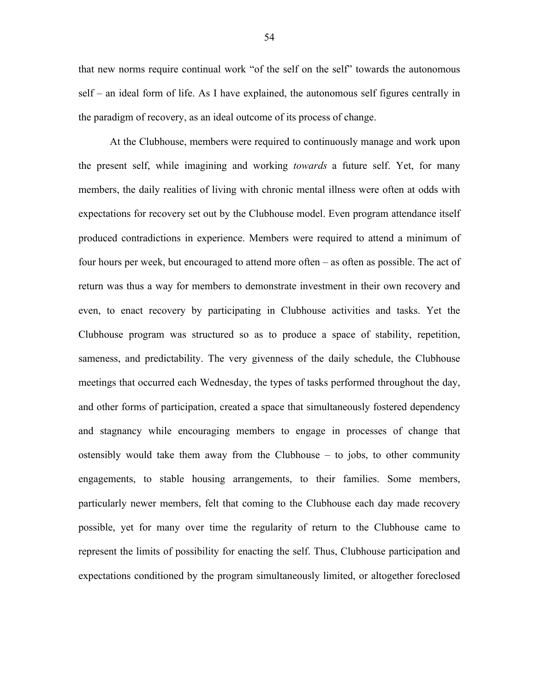that new norms require continual work "of the self on the self" towards the autonomous self – an ideal form of life. As I have explained, the autonomous self figures centrally in the paradigm of recovery, as an ideal outcome of its process of change.

At the Clubhouse, members were required to continuously manage and work upon the present self, while imagining and working *towards* a future self. Yet, for many members, the daily realities of living with chronic mental illness were often at odds with expectations for recovery set out by the Clubhouse model. Even program attendance itself produced contradictions in experience. Members were required to attend a minimum of four hours per week, but encouraged to attend more often – as often as possible. The act of return was thus a way for members to demonstrate investment in their own recovery and even, to enact recovery by participating in Clubhouse activities and tasks. Yet the Clubhouse program was structured so as to produce a space of stability, repetition, sameness, and predictability. The very givenness of the daily schedule, the Clubhouse meetings that occurred each Wednesday, the types of tasks performed throughout the day, and other forms of participation, created a space that simultaneously fostered dependency and stagnancy while encouraging members to engage in processes of change that ostensibly would take them away from the Clubhouse – to jobs, to other community engagements, to stable housing arrangements, to their families. Some members, particularly newer members, felt that coming to the Clubhouse each day made recovery possible, yet for many over time the regularity of return to the Clubhouse came to represent the limits of possibility for enacting the self. Thus, Clubhouse participation and expectations conditioned by the program simultaneously limited, or altogether foreclosed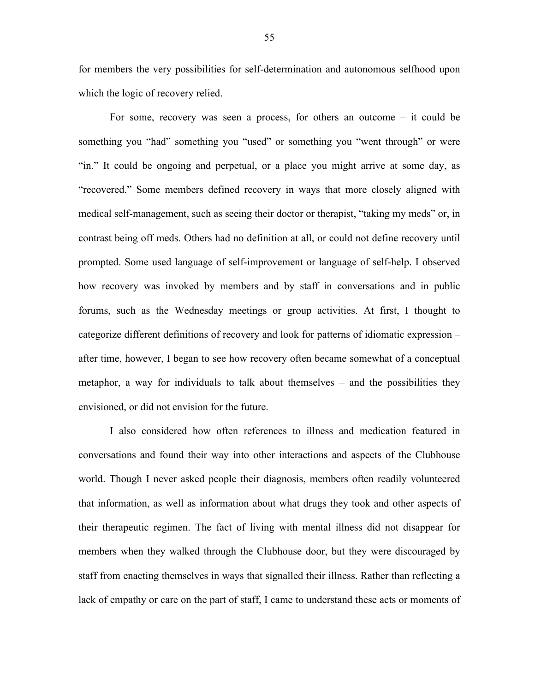for members the very possibilities for self-determination and autonomous selfhood upon which the logic of recovery relied.

For some, recovery was seen a process, for others an outcome – it could be something you "had" something you "used" or something you "went through" or were "in." It could be ongoing and perpetual, or a place you might arrive at some day, as "recovered." Some members defined recovery in ways that more closely aligned with medical self-management, such as seeing their doctor or therapist, "taking my meds" or, in contrast being off meds. Others had no definition at all, or could not define recovery until prompted. Some used language of self-improvement or language of self-help. I observed how recovery was invoked by members and by staff in conversations and in public forums, such as the Wednesday meetings or group activities. At first, I thought to categorize different definitions of recovery and look for patterns of idiomatic expression – after time, however, I began to see how recovery often became somewhat of a conceptual metaphor, a way for individuals to talk about themselves – and the possibilities they envisioned, or did not envision for the future.

I also considered how often references to illness and medication featured in conversations and found their way into other interactions and aspects of the Clubhouse world. Though I never asked people their diagnosis, members often readily volunteered that information, as well as information about what drugs they took and other aspects of their therapeutic regimen. The fact of living with mental illness did not disappear for members when they walked through the Clubhouse door, but they were discouraged by staff from enacting themselves in ways that signalled their illness. Rather than reflecting a lack of empathy or care on the part of staff, I came to understand these acts or moments of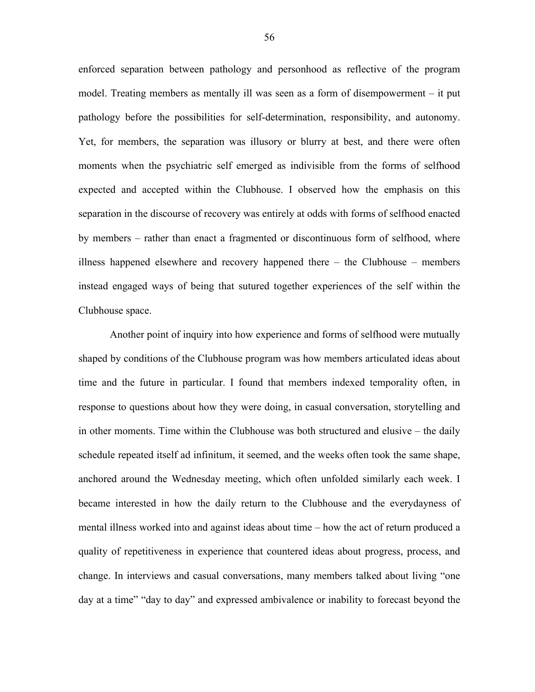enforced separation between pathology and personhood as reflective of the program model. Treating members as mentally ill was seen as a form of disempowerment – it put pathology before the possibilities for self-determination, responsibility, and autonomy. Yet, for members, the separation was illusory or blurry at best, and there were often moments when the psychiatric self emerged as indivisible from the forms of selfhood expected and accepted within the Clubhouse. I observed how the emphasis on this separation in the discourse of recovery was entirely at odds with forms of selfhood enacted by members – rather than enact a fragmented or discontinuous form of selfhood, where illness happened elsewhere and recovery happened there – the Clubhouse – members instead engaged ways of being that sutured together experiences of the self within the Clubhouse space.

Another point of inquiry into how experience and forms of selfhood were mutually shaped by conditions of the Clubhouse program was how members articulated ideas about time and the future in particular. I found that members indexed temporality often, in response to questions about how they were doing, in casual conversation, storytelling and in other moments. Time within the Clubhouse was both structured and elusive – the daily schedule repeated itself ad infinitum, it seemed, and the weeks often took the same shape, anchored around the Wednesday meeting, which often unfolded similarly each week. I became interested in how the daily return to the Clubhouse and the everydayness of mental illness worked into and against ideas about time – how the act of return produced a quality of repetitiveness in experience that countered ideas about progress, process, and change. In interviews and casual conversations, many members talked about living "one day at a time" "day to day" and expressed ambivalence or inability to forecast beyond the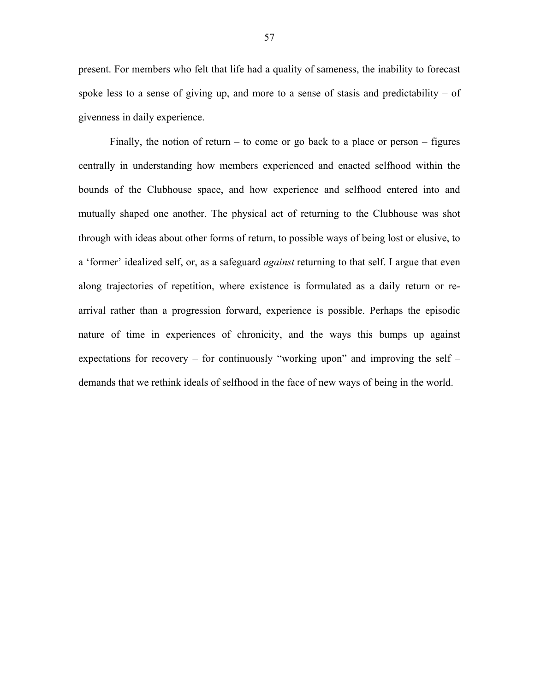present. For members who felt that life had a quality of sameness, the inability to forecast spoke less to a sense of giving up, and more to a sense of stasis and predictability – of givenness in daily experience.

Finally, the notion of return – to come or go back to a place or person – figures centrally in understanding how members experienced and enacted selfhood within the bounds of the Clubhouse space, and how experience and selfhood entered into and mutually shaped one another. The physical act of returning to the Clubhouse was shot through with ideas about other forms of return, to possible ways of being lost or elusive, to a 'former' idealized self, or, as a safeguard *against* returning to that self. I argue that even along trajectories of repetition, where existence is formulated as a daily return or rearrival rather than a progression forward, experience is possible. Perhaps the episodic nature of time in experiences of chronicity, and the ways this bumps up against expectations for recovery – for continuously "working upon" and improving the self – demands that we rethink ideals of selfhood in the face of new ways of being in the world.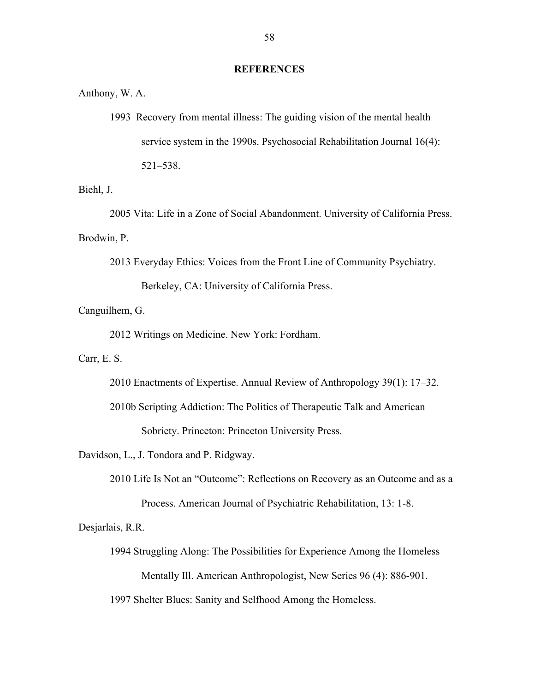#### **REFERENCES**

Anthony, W. A.

1993 Recovery from mental illness: The guiding vision of the mental health service system in the 1990s. Psychosocial Rehabilitation Journal 16(4): 521–538.

Biehl, J.

2005 Vita: Life in a Zone of Social Abandonment. University of California Press. Brodwin, P.

2013 Everyday Ethics: Voices from the Front Line of Community Psychiatry.

Berkeley, CA: University of California Press.

## Canguilhem, G.

2012 Writings on Medicine. New York: Fordham.

Carr, E. S.

- 2010 Enactments of Expertise. Annual Review of Anthropology 39(1): 17–32.
- 2010b Scripting Addiction: The Politics of Therapeutic Talk and American Sobriety. Princeton: Princeton University Press.

Davidson, L., J. Tondora and P. Ridgway.

2010 Life Is Not an "Outcome": Reflections on Recovery as an Outcome and as a Process. American Journal of Psychiatric Rehabilitation, 13: 1-8.

Desjarlais, R.R.

1994 Struggling Along: The Possibilities for Experience Among the Homeless Mentally Ill. American Anthropologist, New Series 96 (4): 886-901.

1997 Shelter Blues: Sanity and Selfhood Among the Homeless.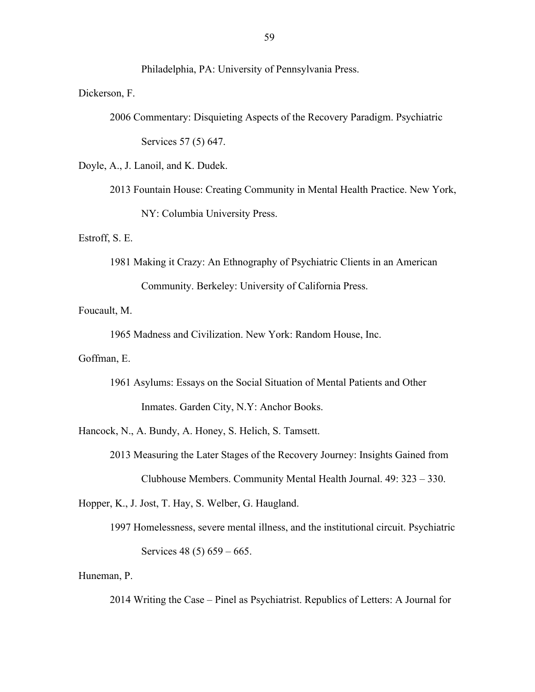Philadelphia, PA: University of Pennsylvania Press.

Dickerson, F.

2006 Commentary: Disquieting Aspects of the Recovery Paradigm. Psychiatric Services 57 (5) 647.

Doyle, A., J. Lanoil, and K. Dudek.

2013 Fountain House: Creating Community in Mental Health Practice. New York, NY: Columbia University Press.

Estroff, S. E.

1981 Making it Crazy: An Ethnography of Psychiatric Clients in an American Community. Berkeley: University of California Press.

Foucault, M.

1965 Madness and Civilization. New York: Random House, Inc.

Goffman, E.

1961 Asylums: Essays on the Social Situation of Mental Patients and Other Inmates. Garden City, N.Y: Anchor Books.

Hancock, N., A. Bundy, A. Honey, S. Helich, S. Tamsett.

2013 Measuring the Later Stages of the Recovery Journey: Insights Gained from Clubhouse Members. Community Mental Health Journal. 49: 323 – 330.

Hopper, K., J. Jost, T. Hay, S. Welber, G. Haugland.

1997 Homelessness, severe mental illness, and the institutional circuit. Psychiatric Services 48 (5) 659 – 665.

Huneman, P.

2014 Writing the Case – Pinel as Psychiatrist. Republics of Letters: A Journal for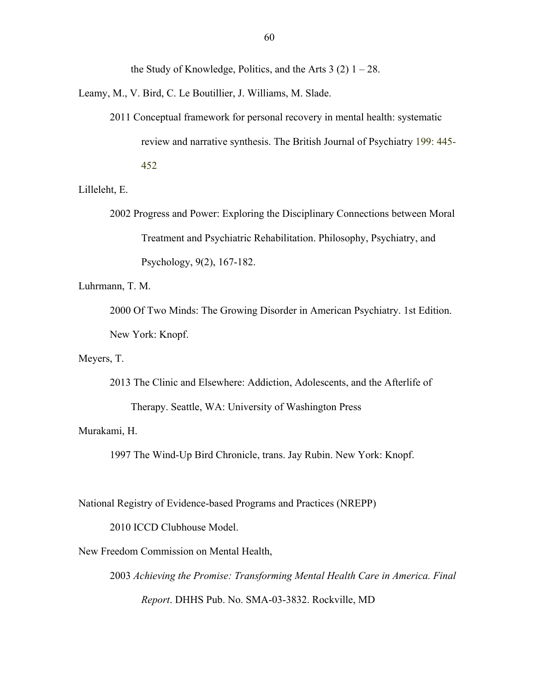the Study of Knowledge, Politics, and the Arts  $3(2)$  1 – 28.

Leamy, M., V. Bird, C. Le Boutillier, J. Williams, M. Slade.

2011 Conceptual framework for personal recovery in mental health: systematic review and narrative synthesis. The British Journal of Psychiatry 199: 445- 452

Lilleleht, E.

2002 Progress and Power: Exploring the Disciplinary Connections between Moral Treatment and Psychiatric Rehabilitation. Philosophy, Psychiatry, and Psychology, 9(2), 167-182.

Luhrmann, T. M.

2000 Of Two Minds: The Growing Disorder in American Psychiatry. 1st Edition. New York: Knopf.

Meyers, T.

2013 The Clinic and Elsewhere: Addiction, Adolescents, and the Afterlife of Therapy. Seattle, WA: University of Washington Press

Murakami, H.

1997 The Wind-Up Bird Chronicle, trans. Jay Rubin. New York: Knopf.

National Registry of Evidence-based Programs and Practices (NREPP)

2010 ICCD Clubhouse Model.

New Freedom Commission on Mental Health,

2003 *Achieving the Promise: Transforming Mental Health Care in America. Final Report*. DHHS Pub. No. SMA-03-3832. Rockville, MD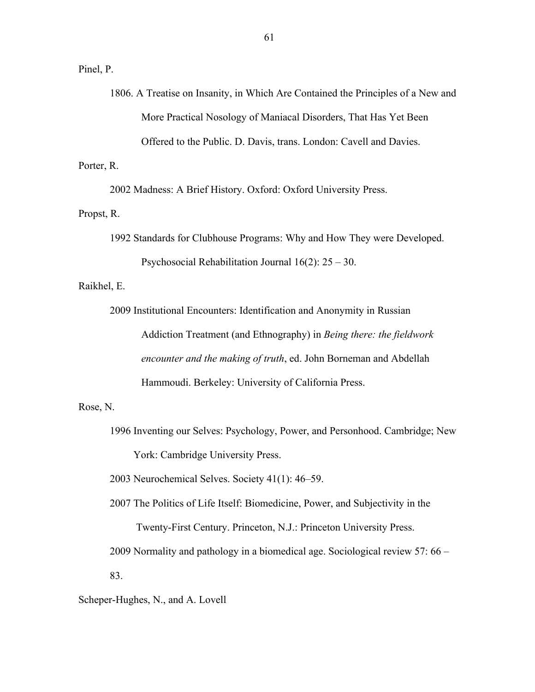Pinel, P.

1806. A Treatise on Insanity, in Which Are Contained the Principles of a New and More Practical Nosology of Maniacal Disorders, That Has Yet Been Offered to the Public. D. Davis, trans. London: Cavell and Davies.

Porter, R.

2002 Madness: A Brief History. Oxford: Oxford University Press.

Propst, R.

1992 Standards for Clubhouse Programs: Why and How They were Developed.

Psychosocial Rehabilitation Journal 16(2): 25 – 30.

Raikhel, E.

2009 Institutional Encounters: Identification and Anonymity in Russian Addiction Treatment (and Ethnography) in *Being there: the fieldwork encounter and the making of truth*, ed. John Borneman and Abdellah Hammoudi. Berkeley: University of California Press.

Rose, N.

1996 Inventing our Selves: Psychology, Power, and Personhood. Cambridge; New York: Cambridge University Press.

2003 Neurochemical Selves. Society 41(1): 46–59.

2007 The Politics of Life Itself: Biomedicine, Power, and Subjectivity in the Twenty-First Century. Princeton, N.J.: Princeton University Press.

2009 Normality and pathology in a biomedical age. Sociological review 57: 66 – 83.

Scheper-Hughes, N., and A. Lovell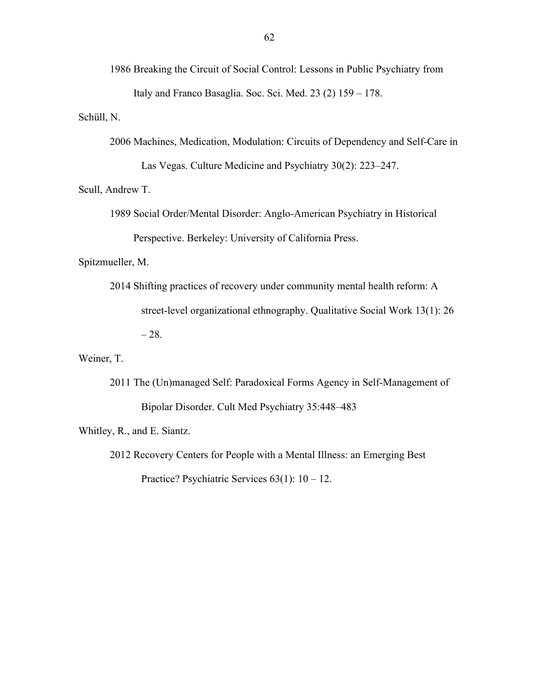1986 Breaking the Circuit of Social Control: Lessons in Public Psychiatry from Italy and Franco Basaglia. Soc. Sci. Med. 23 (2) 159 – 178.

Schüll, N.

2006 Machines, Medication, Modulation: Circuits of Dependency and Self-Care in Las Vegas. Culture Medicine and Psychiatry 30(2): 223–247.

Scull, Andrew T.

1989 Social Order/Mental Disorder: Anglo-American Psychiatry in Historical Perspective. Berkeley: University of California Press.

Spitzmueller, M.

2014 Shifting practices of recovery under community mental health reform: A street-level organizational ethnography. Qualitative Social Work 13(1): 26  $-28.$ 

Weiner, T.

2011 The (Un)managed Self: Paradoxical Forms Agency in Self-Management of Bipolar Disorder. Cult Med Psychiatry 35:448–483

Whitley, R., and E. Siantz.

2012 Recovery Centers for People with a Mental Illness: an Emerging Best Practice? Psychiatric Services 63(1): 10 – 12.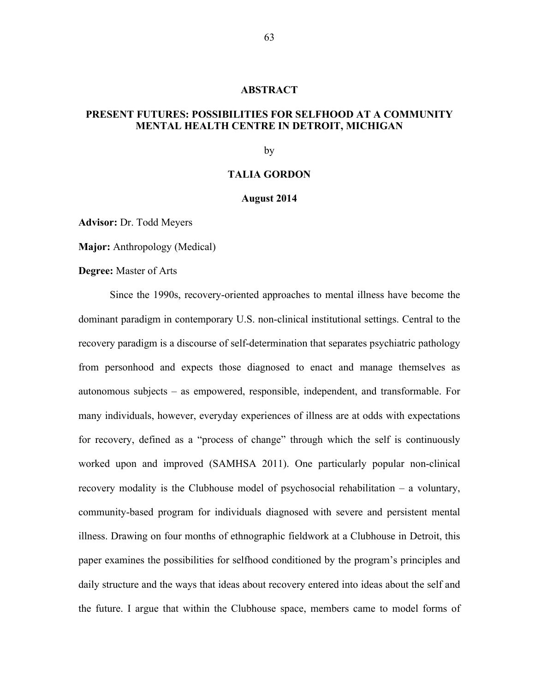#### **ABSTRACT**

## **PRESENT FUTURES: POSSIBILITIES FOR SELFHOOD AT A COMMUNITY MENTAL HEALTH CENTRE IN DETROIT, MICHIGAN**

by

## **TALIA GORDON**

#### **August 2014**

**Advisor:** Dr. Todd Meyers

**Major:** Anthropology (Medical)

**Degree:** Master of Arts

Since the 1990s, recovery-oriented approaches to mental illness have become the dominant paradigm in contemporary U.S. non-clinical institutional settings. Central to the recovery paradigm is a discourse of self-determination that separates psychiatric pathology from personhood and expects those diagnosed to enact and manage themselves as autonomous subjects – as empowered, responsible, independent, and transformable. For many individuals, however, everyday experiences of illness are at odds with expectations for recovery, defined as a "process of change" through which the self is continuously worked upon and improved (SAMHSA 2011). One particularly popular non-clinical recovery modality is the Clubhouse model of psychosocial rehabilitation – a voluntary, community-based program for individuals diagnosed with severe and persistent mental illness. Drawing on four months of ethnographic fieldwork at a Clubhouse in Detroit, this paper examines the possibilities for selfhood conditioned by the program's principles and daily structure and the ways that ideas about recovery entered into ideas about the self and the future. I argue that within the Clubhouse space, members came to model forms of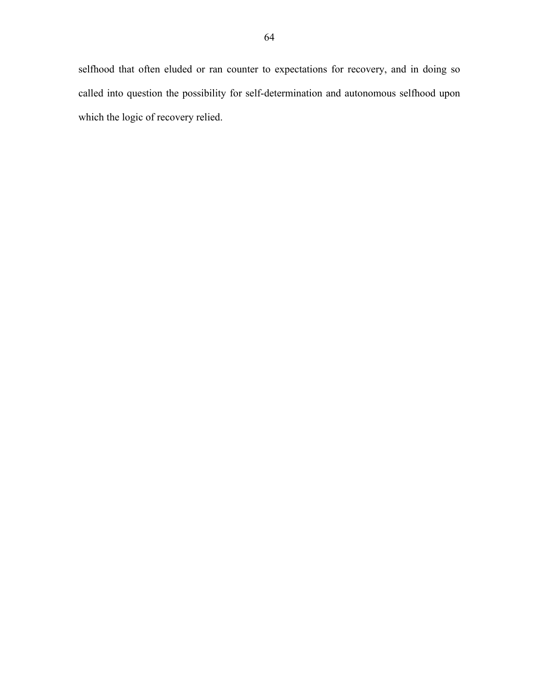selfhood that often eluded or ran counter to expectations for recovery, and in doing so called into question the possibility for self-determination and autonomous selfhood upon which the logic of recovery relied.